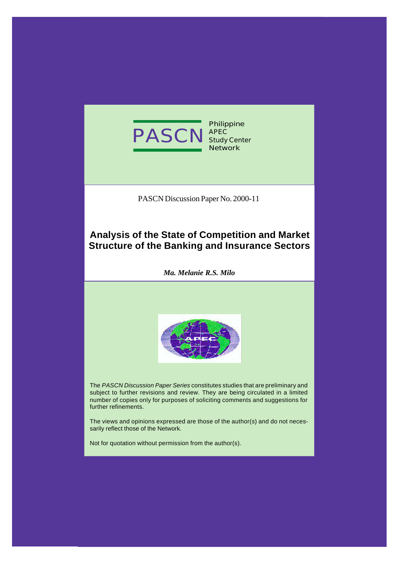

**Philippine APEC Study Center Network**

PASCN Discussion Paper No. 2000-11

# **Analysis of the State of Competition and Market Structure of the Banking and Insurance Sectors**

*Ma. Melanie R.S. Milo*



The *PASCN Discussion Paper Series* constitutes studies that are preliminary and subject to further revisions and review. They are being circulated in a limited number of copies only for purposes of soliciting comments and suggestions for further refinements.

The views and opinions expressed are those of the author(s) and do not necessarily reflect those of the Network.

Not for quotation without permission from the author(s).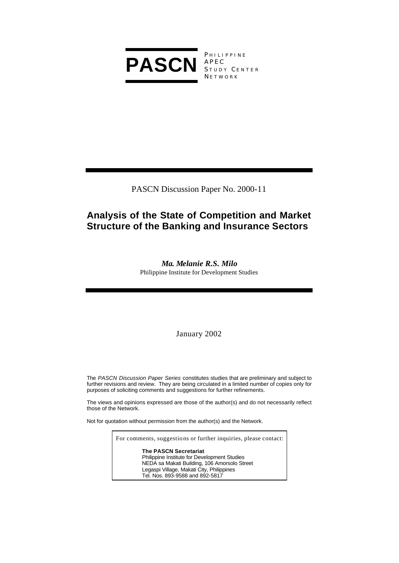

PHILIPPINE APEC S TUDY C ENTER N ETWORK

PASCN Discussion Paper No. 2000-11

# **Analysis of the State of Competition and Market Structure of the Banking and Insurance Sectors**

*Ma. Melanie R.S. Milo* Philippine Institute for Development Studies

January 2002

The *PASCN Discussion Paper Series* constitutes studies that are preliminary and subject to further revisions and review. They are being circulated in a limited number of copies only for purposes of soliciting comments and suggestions for further refinements.

The views and opinions expressed are those of the author(s) and do not necessarily reflect those of the Network.

Not for quotation without permission from the author(s) and the Network.

For comments, suggestions or further inquiries, please contact:

**The PASCN Secretariat** Philippine Institute for Development Studies NEDA sa Makati Building, 106 Amorsolo Street Legaspi Village, Makati City, Philippines Tel. Nos. 893-9588 and 892-5817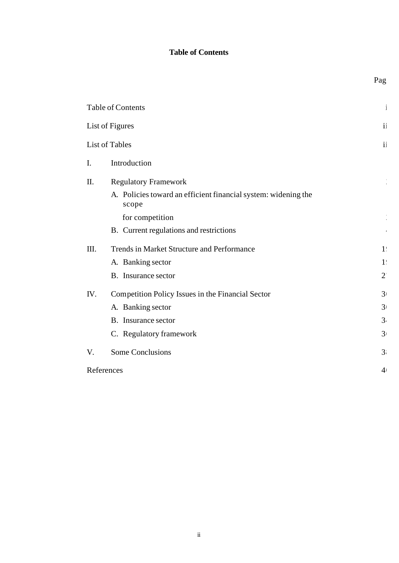# **Table of Contents**

|                | Table of Contents                                                       | $\mathbf{i}$   |
|----------------|-------------------------------------------------------------------------|----------------|
|                | List of Figures                                                         | $\mathbf{ii}$  |
|                | List of Tables                                                          | $\mathbf{i}$   |
| $\mathbf{I}$ . | Introduction                                                            |                |
| II.            | <b>Regulatory Framework</b>                                             |                |
|                | A. Policies toward an efficient financial system: widening the<br>scope |                |
|                | for competition                                                         |                |
|                | B. Current regulations and restrictions                                 |                |
| III.           | Trends in Market Structure and Performance                              | 1 <sup>1</sup> |
|                | A. Banking sector                                                       | 1 <sup>1</sup> |
|                | B. Insurance sector                                                     | $2^{\prime}$   |
| IV.            | Competition Policy Issues in the Financial Sector                       | 3 <sup>1</sup> |
|                | A. Banking sector                                                       | 3 <sub>1</sub> |
|                | B. Insurance sector                                                     | 3.             |
|                | C. Regulatory framework                                                 | 3 <sub>1</sub> |
| V.             | <b>Some Conclusions</b>                                                 | 3 <sup>1</sup> |
|                | References                                                              | 4 <sub>1</sub> |

Page

ii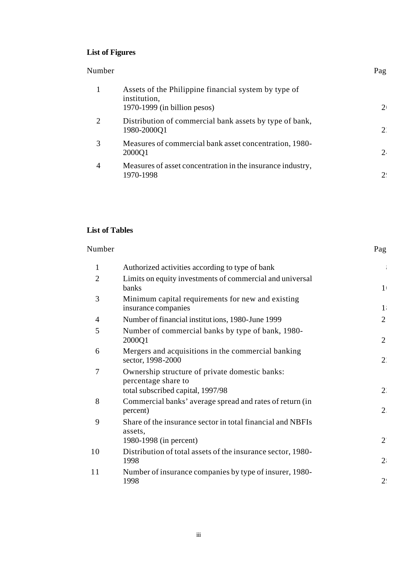# **List of Figures**

#### Number Page

| 1              | Assets of the Philippine financial system by type of                    |       |
|----------------|-------------------------------------------------------------------------|-------|
|                | institution,<br>1970-1999 (in billion pesos)                            |       |
| $\overline{2}$ | Distribution of commercial bank assets by type of bank,<br>1980-2000Q1  | $2^r$ |
| 3              | Measures of commercial bank asset concentration, 1980-<br>2000Q1        | 2.    |
| $\overline{4}$ | Measures of asset concentration in the insurance industry,<br>1970-1998 | 2!    |

# **List of Tables**

| Number         |                                                                                                            | Pag            |
|----------------|------------------------------------------------------------------------------------------------------------|----------------|
| 1              | Authorized activities according to type of bank                                                            |                |
| $\overline{2}$ | Limits on equity investments of commercial and universal<br>banks                                          | 1 <sub>1</sub> |
| 3              | Minimum capital requirements for new and existing<br>insurance companies                                   | 1              |
| 4              | Number of financial institutions, 1980-June 1999                                                           | $\overline{2}$ |
| 5              | Number of commercial banks by type of bank, 1980-<br>2000Q1                                                | $\overline{2}$ |
| 6              | Mergers and acquisitions in the commercial banking<br>sector, 1998-2000                                    | $2^{\prime}$   |
| 7              | Ownership structure of private domestic banks:<br>percentage share to<br>total subscribed capital, 1997/98 | $2^{\cdot}$    |
| 8              | Commercial banks' average spread and rates of return (in<br>percent)                                       | 2.             |
| 9              | Share of the insurance sector in total financial and NBFIs<br>assets,<br>1980-1998 (in percent)            | $2^{\prime}$   |
| 10             | Distribution of total assets of the insurance sector, 1980-<br>1998                                        | 2:             |
| 11             | Number of insurance companies by type of insurer, 1980-<br>1998                                            | 2 <sup>1</sup> |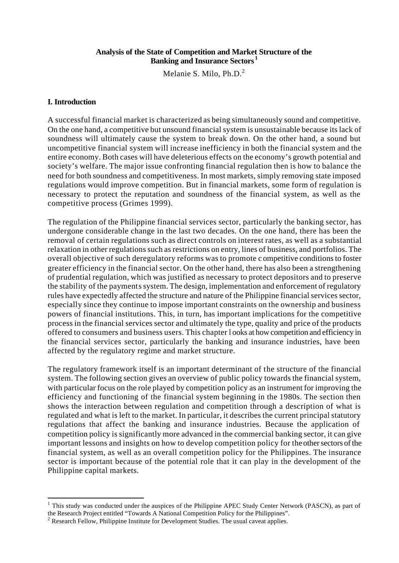#### **Analysis of the State of Competition and Market Structure of the Banking and Insurance Sectors <sup>1</sup>**

Melanie S. Milo, Ph.D.<sup>2</sup>

#### **I. Introduction**

l

A successful financial market is characterized as being simultaneously sound and competitive. On the one hand, a competitive but unsound financial system is unsustainable because its lack of soundness will ultimately cause the system to break down. On the other hand, a sound but uncompetitive financial system will increase inefficiency in both the financial system and the entire economy. Both cases will have deleterious effects on the economy's growth potential and society's welfare. The major issue confronting financial regulation then is how to balance the need for both soundness and competitiveness. In most markets, simply removing state imposed regulations would improve competition. But in financial markets, some form of regulation is necessary to protect the reputation and soundness of the financial system, as well as the competitive process (Grimes 1999).

The regulation of the Philippine financial services sector, particularly the banking sector, has undergone considerable change in the last two decades. On the one hand, there has been the removal of certain regulations such as direct controls on interest rates, as well as a substantial relaxation in other regulations such as restrictions on entry, lines of business, and portfolios. The overall objective of such deregulatory reforms was to promote c ompetitive conditions to foster greater efficiency in the financial sector. On the other hand, there has also been a strengthening of prudential regulation, which was justified as necessary to protect depositors and to preserve the stability of the payments system. The design, implementation and enforcement of regulatory rules have expectedly affected the structure and nature of the Philippine financial services sector, especially since they continue to impose important constraints on the ownership and business powers of financial institutions. This, in turn, has important implications for the competitive process in the financial services sector and ultimately the type, quality and price of the products offered to consumers and business users. This chapter l ooks at how competition and efficiency in the financial services sector, particularly the banking and insurance industries, have been affected by the regulatory regime and market structure.

The regulatory framework itself is an important determinant of the structure of the financial system. The following section gives an overview of public policy towards the financial system, with particular focus on the role played by competition policy as an instrument for improving the efficiency and functioning of the financial system beginning in the 1980s. The section then shows the interaction between regulation and competition through a description of what is regulated and what is left to the market. In particular, it describes the current principal statutory regulations that affect the banking and insurance industries. Because the application of competition policy is significantly more advanced in the commercial banking sector, it can give important lessons and insights on how to develop competition policy for the other sectors of the financial system, as well as an overall competition policy for the Philippines. The insurance sector is important because of the potential role that it can play in the development of the Philippine capital markets.

<sup>&</sup>lt;sup>1</sup> This study was conducted under the auspices of the Philippine APEC Study Center Network (PASCN), as part of the Research Project entitled "Towards A National Competition Policy for the Philippines".

 $2^2$  Research Fellow, Philippine Institute for Development Studies. The usual caveat applies.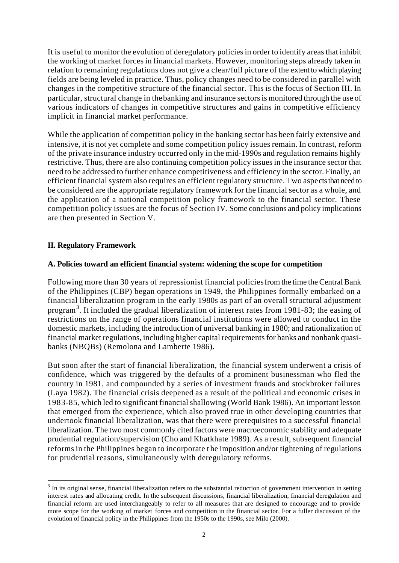It is useful to monitor the evolution of deregulatory policies in order to identify areas that inhibit the working of market forces in financial markets. However, monitoring steps already taken in relation to remaining regulations does not give a clear/full picture of the extent to which playing fields are being leveled in practice. Thus, policy changes need to be considered in parallel with changes in the competitive structure of the financial sector. This is the focus of Section III. In particular, structural change in the banking and insurance sectors is monitored through the use of various indicators of changes in competitive structures and gains in competitive efficiency implicit in financial market performance.

While the application of competition policy in the banking sector has been fairly extensive and intensive, it is not yet complete and some competition policy issues remain. In contrast, reform of the private insurance industry occurred only in the mid-1990s and regulation remains highly restrictive. Thus, there are also continuing competition policy issues in the insurance sector that need to be addressed to further enhance competitiveness and efficiency in the sector. Finally, an efficient financial system also requires an efficient regulatory structure. Two aspects that need to be considered are the appropriate regulatory framework for the financial sector as a whole, and the application of a national competition policy framework to the financial sector. These competition policy issues are the focus of Section IV. Some conclusions and policy implications are then presented in Section V.

# **II. Regulatory Framework**

l

# **A. Policies toward an efficient financial system: widening the scope for competition**

Following more than 30 years of repressionist financial policies from the time the Central Bank of the Philippines (CBP) began operations in 1949, the Philippines formally embarked on a financial liberalization program in the early 1980s as part of an overall structural adjustment program<sup>3</sup>. It included the gradual liberalization of interest rates from 1981-83; the easing of restrictions on the range of operations financial institutions were allowed to conduct in the domestic markets, including the introduction of universal banking in 1980; and rationalization of financial market regulations, including higher capital requirements for banks and nonbank quasibanks (NBQBs) (Remolona and Lamberte 1986).

But soon after the start of financial liberalization, the financial system underwent a crisis of confidence, which was triggered by the defaults of a prominent businessman who fled the country in 1981, and compounded by a series of investment frauds and stockbroker failures (Laya 1982). The financial crisis deepened as a result of the political and economic crises in 1983-85, which led to significant financial shallowing (World Bank 1986). An important lesson that emerged from the experience, which also proved true in other developing countries that undertook financial liberalization, was that there were prerequisites to a successful financial liberalization. The two most commonly cited factors were macroeconomic stability and adequate prudential regulation/supervision (Cho and Khatkhate 1989). As a result, subsequent financial reforms in the Philippines began to incorporate t he imposition and/or tightening of regulations for prudential reasons, simultaneously with deregulatory reforms.

 $3$  In its original sense, financial liberalization refers to the substantial reduction of government intervention in setting interest rates and allocating credit. In the subsequent discussions, financial liberalization, financial deregulation and financial reform are used interchangeably to refer to all measures that are designed to encourage and to provide more scope for the working of market forces and competition in the financial sector. For a fuller discussion of the evolution of financial policy in the Philippines from the 1950s to the 1990s, see Milo (2000).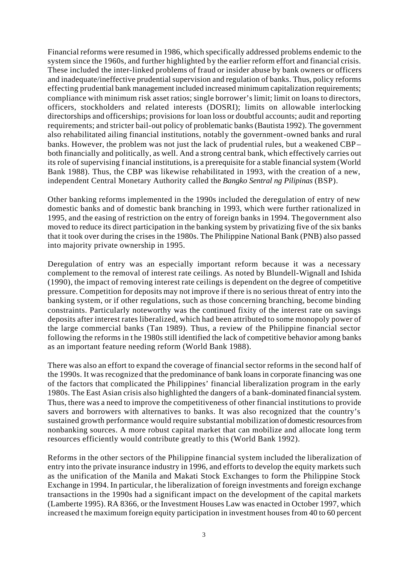Financial reforms were resumed in 1986, which specifically addressed problems endemic to the system since the 1960s, and further highlighted by the earlier reform effort and financial crisis. These included the inter-linked problems of fraud or insider abuse by bank owners or officers and inadequate/ineffective prudential supervision and regulation of banks. Thus, policy reforms effecting prudential bank management included increased minimum capitalization requirements; compliance with minimum risk asset ratios; single borrower's limit; limit on loans to directors, officers, stockholders and related interests (DOSRI); limits on allowable interlocking directorships and officerships; provisions for loan loss or doubtful accounts; audit and reporting requirements; and stricter bail-out policy of problematic banks (Bautista 1992). The government also rehabilitated ailing financial institutions, notably the government-owned banks and rural banks. However, the problem was not just the lack of prudential rules, but a weakened CBP – both financially and politically, as well. And a strong central bank, which effectively carries out its role of supervising financial institutions, is a prerequisite for a stable financial system (World Bank 1988). Thus, the CBP was likewise rehabilitated in 1993, with the creation of a new, independent Central Monetary Authority called the *Bangko Sentral ng Pilipinas* (BSP).

Other banking reforms implemented in the 1990s included the deregulation of entry of new domestic banks and of domestic bank branching in 1993, which were further rationalized in 1995, and the easing of restriction on the entry of foreign banks in 1994. The government also moved to reduce its direct participation in the banking system by privatizing five of the six banks that it took over during the crises in the 1980s. The Philippine National Bank (PNB) also passed into majority private ownership in 1995.

Deregulation of entry was an especially important reform because it was a necessary complement to the removal of interest rate ceilings. As noted by Blundell-Wignall and Ishida (1990), the impact of removing interest rate ceilings is dependent on the degree of competitive pressure. Competition for deposits may not improve if there is no serious threat of entry into the banking system, or if other regulations, such as those concerning branching, become binding constraints. Particularly noteworthy was the continued fixity of the interest rate on savings deposits after interest rates liberalized, which had been attributed to some monopoly power of the large commercial banks (Tan 1989). Thus, a review of the Philippine financial sector following the reforms in t he 1980s still identified the lack of competitive behavior among banks as an important feature needing reform (World Bank 1988).

There was also an effort to expand the coverage of financial sector reforms in the second half of the 1990s. It was recognized that the predominance of bank loans in corporate financing was one of the factors that complicated the Philippines' financial liberalization program in the early 1980s. The East Asian crisis also highlighted the dangers of a bank-dominated financial system. Thus, there was a need to improve the competitiveness of other financial institutions to provide savers and borrowers with alternatives to banks. It was also recognized that the country's sustained growth performance would require substantial mobilization of domestic resources from nonbanking sources. A more robust capital market that can mobilize and allocate long term resources efficiently would contribute greatly to this (World Bank 1992).

Reforms in the other sectors of the Philippine financial system included the liberalization of entry into the private insurance industry in 1996, and efforts to develop the equity markets such as the unification of the Manila and Makati Stock Exchanges to form the Philippine Stock Exchange in 1994. In particular, t he liberalization of foreign investments and foreign exchange transactions in the 1990s had a significant impact on the development of the capital markets (Lamberte 1995). RA 8366, or the Investment Houses Law was enacted in October 1997, which increased t he maximum foreign equity participation in investment houses from 40 to 60 percent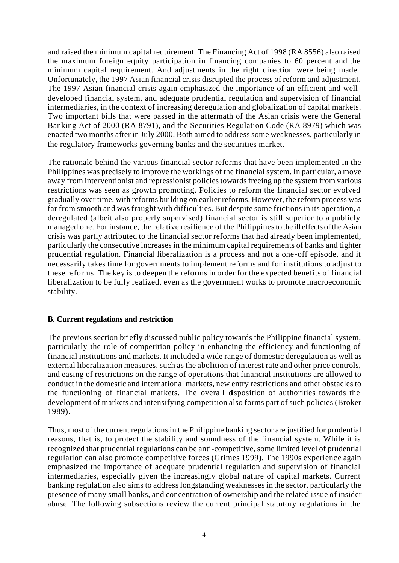and raised the minimum capital requirement. The Financing Act of 1998 (RA 8556) also raised the maximum foreign equity participation in financing companies to 60 percent and the minimum capital requirement. And adjustments in the right direction were being made. Unfortunately, the 1997 Asian financial crisis disrupted the process of reform and adjustment. The 1997 Asian financial crisis again emphasized the importance of an efficient and welldeveloped financial system, and adequate prudential regulation and supervision of financial intermediaries, in the context of increasing deregulation and globalization of capital markets. Two important bills that were passed in the aftermath of the Asian crisis were the General Banking Act of 2000 (RA 8791), and the Securities Regulation Code (RA 8979) which was enacted two months after in July 2000. Both aimed to address some weaknesses, particularly in the regulatory frameworks governing banks and the securities market.

The rationale behind the various financial sector reforms that have been implemented in the Philippines was precisely to improve the workings of the financial system. In particular, a move away from interventionist and repressionist policies towards freeing up the system from various restrictions was seen as growth promoting. Policies to reform the financial sector evolved gradually over time, with reforms building on earlier reforms. However, the reform process was far from smooth and was fraught with difficulties. But despite some frictions in its operation, a deregulated (albeit also properly supervised) financial sector is still superior to a publicly managed one. For instance, the relative resilience of the Philippines to the ill effects of the Asian crisis was partly attributed to the financial sector reforms that had already been implemented, particularly the consecutive increases in the minimum capital requirements of banks and tighter prudential regulation. Financial liberalization is a process and not a one-off episode, and it necessarily takes time for governments to implement reforms and for institutions to adjust to these reforms. The key is to deepen the reforms in order for the expected benefits of financial liberalization to be fully realized, even as the government works to promote macroeconomic stability.

#### **B. Current regulations and restriction**

The previous section briefly discussed public policy towards the Philippine financial system, particularly the role of competition policy in enhancing the efficiency and functioning of financial institutions and markets. It included a wide range of domestic deregulation as well as external liberalization measures, such as the abolition of interest rate and other price controls, and easing of restrictions on the range of operations that financial institutions are allowed to conduct in the domestic and international markets, new entry restrictions and other obstacles to the functioning of financial markets. The overall disposition of authorities towards the development of markets and intensifying competition also forms part of such policies (Broker 1989).

Thus, most of the current regulations in the Philippine banking sector are justified for prudential reasons, that is, to protect the stability and soundness of the financial system. While it is recognized that prudential regulations can be anti-competitive, some limited level of prudential regulation can also promote competitive forces (Grimes 1999). The 1990s experience again emphasized the importance of adequate prudential regulation and supervision of financial intermediaries, especially given the increasingly global nature of capital markets. Current banking regulation also aims to address longstanding weaknesses in the sector, particularly the presence of many small banks, and concentration of ownership and the related issue of insider abuse. The following subsections review the current principal statutory regulations in the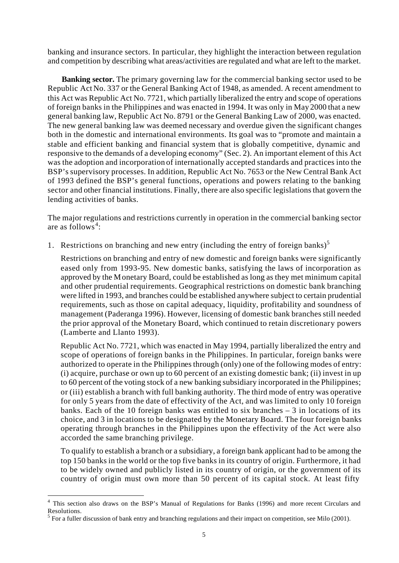banking and insurance sectors. In particular, they highlight the interaction between regulation and competition by describing what areas/activities are regulated and what are left to the market.

**Banking sector.** The primary governing law for the commercial banking sector used to be Republic Act No. 337 or the General Banking Act of 1948, as amended. A recent amendment to this Act was Republic Act No. 7721, which partially liberalized the entry and scope of operations of foreign banks in the Philippines and was enacted in 1994. It was only in May 2000 that a new general banking law, Republic Act No. 8791 or the General Banking Law of 2000, was enacted. The new general banking law was deemed necessary and overdue given the significant changes both in the domestic and international environments. Its goal was to "promote and maintain a stable and efficient banking and financial system that is globally competitive, dynamic and responsive to the demands of a developing economy" (Sec. 2). An important element of this Act was the adoption and incorporation of internationally accepted standards and practices into the BSP's supervisory processes. In addition, Republic Act No. 7653 or the New Central Bank Act of 1993 defined the BSP's general functions, operations and powers relating to the banking sector and other financial institutions. Finally, there are also specific legislations that govern the lending activities of banks.

The major regulations and restrictions currently in operation in the commercial banking sector are as follows<sup>4</sup>:

1. Restrictions on branching and new entry (including the entry of foreign banks)<sup>5</sup>

Restrictions on branching and entry of new domestic and foreign banks were significantly eased only from 1993-95. New domestic banks, satisfying the laws of incorporation as approved by the Monetary Board, could be established as long as they met minimum capital and other prudential requirements. Geographical restrictions on domestic bank branching were lifted in 1993, and branches could be established anywhere subject to certain prudential requirements, such as those on capital adequacy, liquidity, profitability and soundness of management (Paderanga 1996). However, licensing of domestic bank branches still needed the prior approval of the Monetary Board, which continued to retain discretionary powers (Lamberte and Llanto 1993).

Republic Act No. 7721, which was enacted in May 1994, partially liberalized the entry and scope of operations of foreign banks in the Philippines. In particular, foreign banks were authorized to operate in the Philippines through (only) one of the following modes of entry: (i) acquire, purchase or own up to 60 percent of an existing domestic bank; (ii) invest in up to 60 percent of the voting stock of a new banking subsidiary incorporated in the Philippines; or (iii) establish a branch with full banking authority. The third mode of entry was operative for only 5 years from the date of effectivity of the Act, and was limited to only 10 foreign banks. Each of the 10 foreign banks was entitled to six branches – 3 in locations of its choice, and 3 in locations to be designated by the Monetary Board. The four foreign banks operating through branches in the Philippines upon the effectivity of the Act were also accorded the same branching privilege.

To qualify to establish a branch or a subsidiary, a foreign bank applicant had to be among the top 150 banks in the world or the top five banks in its country of origin. Furthermore, it had to be widely owned and publicly listed in its country of origin, or the government of its country of origin must own more than 50 percent of its capital stock. At least fifty

l

<sup>&</sup>lt;sup>4</sup> This section also draws on the BSP's Manual of Regulations for Banks (1996) and more recent Circulars and Resolutions.

 $<sup>5</sup>$  For a fuller discussion of bank entry and branching regulations and their impact on competition, see Milo (2001).</sup>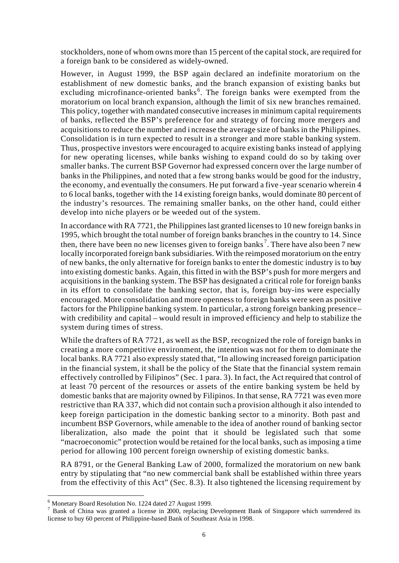stockholders, none of whom owns more than 15 percent of the capital stock, are required for a foreign bank to be considered as widely-owned.

However, in August 1999, the BSP again declared an indefinite moratorium on the establishment of new domestic banks, and the branch expansion of existing banks but excluding microfinance-oriented banks<sup>6</sup>. The foreign banks were exempted from the moratorium on local branch expansion, although the limit of six new branches remained. This policy, together with mandated consecutive increases in minimum capital requirements of banks, reflected the BSP's preference for and strategy of forcing more mergers and acquisitions to reduce the number and i ncrease the average size of banks in the Philippines. Consolidation is in turn expected to result in a stronger and more stable banking system. Thus, prospective investors were encouraged to acquire existing banks instead of applying for new operating licenses, while banks wishing to expand could do so by taking over smaller banks. The current BSP Governor had expressed concern over the large number of banks in the Philippines, and noted that a few strong banks would be good for the industry, the economy, and eventually the consumers. He put forward a five -year scenario wherein 4 to 6 local banks, together with the 14 existing foreign banks, would dominate 80 percent of the industry's resources. The remaining smaller banks, on the other hand, could either develop into niche players or be weeded out of the system.

In accordance with RA 7721, the Philippines last granted licenses to 10 new foreign banks in 1995, which brought the total number of foreign banks branches in the country to 14. Since then, there have been no new licenses given to foreign banks<sup>7</sup>. There have also been 7 new locally incorporated foreign bank subsidiaries. With the reimposed moratorium on the entry of new banks, the only alternative for foreign banks to enter the domestic industry is to buy into existing domestic banks. Again, this fitted in with the BSP's push for more mergers and acquisitions in the banking system. The BSP has designated a critical role for foreign banks in its effort to consolidate the banking sector, that is, foreign buy-ins were especially encouraged. More consolidation and more openness to foreign banks were seen as positive factors for the Philippine banking system. In particular, a strong foreign banking presence – with credibility and capital – would result in improved efficiency and help to stabilize the system during times of stress.

While the drafters of RA 7721, as well as the BSP, recognized the role of foreign banks in creating a more competitive environment, the intention was not for them to dominate the local banks. RA 7721 also expressly stated that, "In allowing increased foreign participation in the financial system, it shall be the policy of the State that the financial system remain effectively controlled by Filipinos" (Sec. 1 para. 3). In fact, the Act required that control of at least 70 percent of the resources or assets of the entire banking system be held by domestic banks that are majority owned by Filipinos. In that sense, RA 7721 was even more restrictive than RA 337, which did not contain such a provision although it also intended to keep foreign participation in the domestic banking sector to a minority. Both past and incumbent BSP Governors, while amenable to the idea of another round of banking sector liberalization, also made the point that it should be legislated such that some "macroeconomic" protection would be retained for the local banks, such as imposing a time period for allowing 100 percent foreign ownership of existing domestic banks.

RA 8791, or the General Banking Law of 2000, formalized the moratorium on new bank entry by stipulating that "no new commercial bank shall be established within three years from the effectivity of this Act" (Sec. 8.3). It also tightened the licensing requirement by

l

<sup>&</sup>lt;sup>6</sup> Monetary Board Resolution No. 1224 dated 27 August 1999.

<sup>&</sup>lt;sup>7</sup> Bank of China was granted a license in 2000, replacing Development Bank of Singapore which surrendered its license to buy 60 percent of Philippine-based Bank of Southeast Asia in 1998.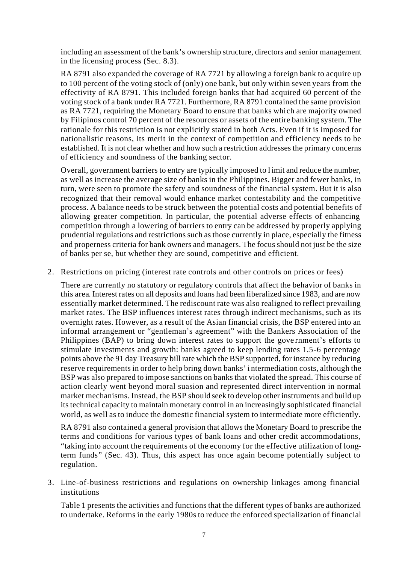including an assessment of the bank's ownership structure, directors and senior management in the licensing process (Sec. 8.3).

RA 8791 also expanded the coverage of RA 7721 by allowing a foreign bank to acquire up to 100 percent of the voting stock of (only) one bank, but only within seven years from the effectivity of RA 8791. This included foreign banks that had acquired 60 percent of the voting stock of a bank under RA 7721. Furthermore, RA 8791 contained the same provision as RA 7721, requiring the Monetary Board to ensure that banks which are majority owned by Filipinos control 70 percent of the resources or assets of the entire banking system. The rationale for this restriction is not explicitly stated in both Acts. Even if it is imposed for nationalistic reasons, its merit in the context of competition and efficiency needs to be established. It is not clear whether and how such a restriction addresses the primary concerns of efficiency and soundness of the banking sector.

Overall, government barriers to entry are typically imposed to l imit and reduce the number, as well as increase the average size of banks in the Philippines. Bigger and fewer banks, in turn, were seen to promote the safety and soundness of the financial system. But it is also recognized that their removal would enhance market contestability and the competitive process. A balance needs to be struck between the potential costs and potential benefits of allowing greater competition. In particular, the potential adverse effects of enhancing competition through a lowering of barriers to entry can be addressed by properly applying prudential regulations and restrictions such as those currently in place, especially the fitness and properness criteria for bank owners and managers. The focus should not just be the size of banks per se, but whether they are sound, competitive and efficient.

2. Restrictions on pricing (interest rate controls and other controls on prices or fees)

There are currently no statutory or regulatory controls that affect the behavior of banks in this area. Interest rates on all deposits and loans had been liberalized since 1983, and are now essentially market determined. The rediscount rate was also realigned to reflect prevailing market rates. The BSP influences interest rates through indirect mechanisms, such as its overnight rates. However, as a result of the Asian financial crisis, the BSP entered into an informal arrangement or "gentleman's agreement" with the Bankers Association of the Philippines (BAP) to bring down interest rates to support the gove rnment's efforts to stimulate investments and growth: banks agreed to keep lending rates 1.5-6 percentage points above the 91 day Treasury bill rate which the BSP supported, for instance by reducing reserve requirements in order to help bring down banks' i ntermediation costs, although the BSP was also prepared to impose sanctions on banks that violated the spread. This course of action clearly went beyond moral suasion and represented direct intervention in normal market mechanisms. Instead, the BSP should seek to develop other instruments and build up its technical capacity to maintain monetary control in an increasingly sophisticated financial world, as well as to induce the domestic financial system to intermediate more efficiently.

RA 8791 also contained a general provision that allows the Monetary Board to prescribe the terms and conditions for various types of bank loans and other credit accommodations, "taking into account the requirements of the economy for the effective utilization of longterm funds" (Sec. 43). Thus, this aspect has once again become potentially subject to regulation.

3. Line-of-business restrictions and regulations on ownership linkages among financial institutions

Table 1 presents the activities and functions that the different types of banks are authorized to undertake. Reforms in the early 1980s to reduce the enforced specialization of financial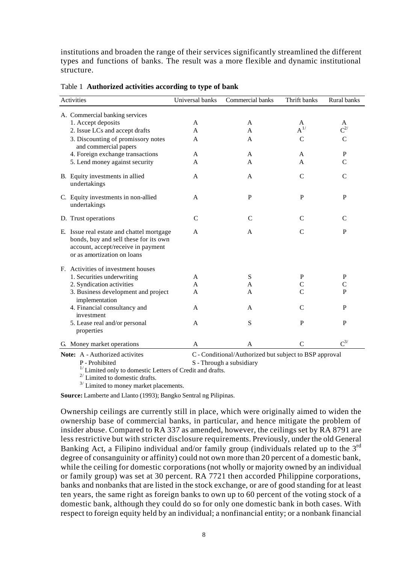institutions and broaden the range of their services significantly streamlined the different types and functions of banks. The result was a more flexible and dynamic institutional structure.

| Activities                                                                                                                                              | Universal banks | Commercial banks | Thrift banks      | Rural banks   |
|---------------------------------------------------------------------------------------------------------------------------------------------------------|-----------------|------------------|-------------------|---------------|
| A. Commercial banking services                                                                                                                          |                 |                  |                   |               |
| 1. Accept deposits                                                                                                                                      | A               | A                | A                 | A             |
| 2. Issue LCs and accept drafts                                                                                                                          | A               | A                | $\mathrm{A}^{1/}$ | $C^{2/}$      |
| 3. Discounting of promissory notes<br>and commercial papers                                                                                             | A               | A                | C                 | C             |
| 4. Foreign exchange transactions                                                                                                                        | A               | A                | A                 | ${\bf P}$     |
| 5. Lend money against security                                                                                                                          | $\mathsf{A}$    | A                | A                 | $\mathcal{C}$ |
| B. Equity investments in allied<br>undertakings                                                                                                         | A               | A                | $\mathsf{C}$      | $\mathsf{C}$  |
| C. Equity investments in non-allied<br>undertakings                                                                                                     | A               | $\, {\bf P}$     | P                 | P             |
| D. Trust operations                                                                                                                                     | $\mathsf{C}$    | $\mathsf{C}$     | C                 | C             |
| E. Issue real estate and chattel mortgage<br>bonds, buy and sell these for its own<br>account, accept/receive in payment<br>or as amortization on loans | $\mathsf{A}$    | A                | $\mathcal{C}$     | $\mathbf{P}$  |
| F. Activities of investment houses                                                                                                                      |                 |                  |                   |               |
| 1. Securities underwriting                                                                                                                              | A               | ${\bf S}$        | P                 | $\mathbf P$   |
| 2. Syndication activities                                                                                                                               | A               | A                | C                 | C             |
| 3. Business development and project<br>implementation                                                                                                   | A               | A                | $\mathsf{C}$      | P             |
| 4. Financial consultancy and<br>investment                                                                                                              | A               | A                | $\mathcal{C}$     | P             |
| 5. Lease real and/or personal<br>properties                                                                                                             | A               | S                | $\mathbf{P}$      | P             |
| G. Money market operations                                                                                                                              | A               | A                | C                 | $C^{3/}$      |
|                                                                                                                                                         |                 |                  |                   |               |

**Note:** A - Authorized activites C - Conditional/Authorized but subject to BSP approval

P - Prohibited S - Through a subsidiary

 $1/$  Limited only to domestic Letters of Credit and drafts.

 $^{2/}$  Limited to domestic drafts.

 $3/$  Limited to money market placements.

**Source:** Lamberte and Llanto (1993); Bangko Sentral ng Pilipinas.

Ownership ceilings are currently still in place, which were originally aimed to widen the ownership base of commercial banks, in particular, and hence mitigate the problem of insider abuse. Compared to RA 337 as amended, however, the ceilings set by RA 8791 are less restrictive but with stricter disclosure requirements. Previously, under the old General Banking Act, a Filipino individual and/or family group (individuals related up to the  $3<sup>rd</sup>$ degree of consanguinity or affinity) could not own more than 20 percent of a domestic bank, while the ceiling for domestic corporations (not wholly or majority owned by an individual or family group) was set at 30 percent. RA 7721 then accorded Philippine corporations, banks and nonbanks that are listed in the stock exchange, or are of good standing for at least ten years, the same right as foreign banks to own up to 60 percent of the voting stock of a domestic bank, although they could do so for only one domestic bank in both cases. With respect to foreign equity held by an individual; a nonfinancial entity; or a nonbank financial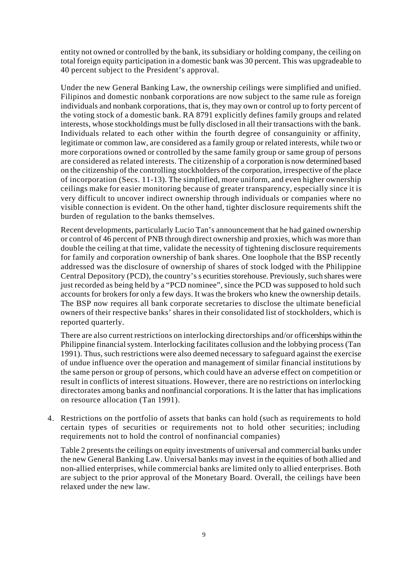entity not owned or controlled by the bank, its subsidiary or holding company, the ceiling on total foreign equity participation in a domestic bank was 30 percent. This was upgradeable to 40 percent subject to the President's approval.

Under the new General Banking Law, the ownership ceilings were simplified and unified. Filipinos and domestic nonbank corporations are now subject to the same rule as foreign individuals and nonbank corporations, that is, they may own or control up to forty percent of the voting stock of a domestic bank. RA 8791 explicitly defines family groups and related interests, whose stockholdings must be fully disclosed in all their transactions with the bank. Individuals related to each other within the fourth degree of consanguinity or affinity, legitimate or common law, are considered as a family group or related interests, while two or more corporations owned or controlled by the same family group or same group of persons are considered as related interests. The citizenship of a corporation is now determined based on the citizenship of the controlling stockholders of the corporation, irrespective of the place of incorporation (Secs. 11-13). The simplified, more uniform, and even higher ownership ceilings make for easier monitoring because of greater transparency, especially since it is very difficult to uncover indirect ownership through individuals or companies where no visible connection is evident. On the other hand, tighter disclosure requirements shift the burden of regulation to the banks themselves.

Recent developments, particularly Lucio Tan's announcement that he had gained ownership or control of 46 percent of PNB through direct ownership and proxies, which was more than double the ceiling at that time, validate the necessity of tightening disclosure requirements for family and corporation ownership of bank shares. One loophole that the BSP recently addressed was the disclosure of ownership of shares of stock lodged with the Philippine Central Depository (PCD), the country's s ecurities storehouse. Previously, such shares were just recorded as being held by a "PCD nominee", since the PCD was supposed to hold such accounts for brokers for only a few days. It was the brokers who knew the ownership details. The BSP now requires all bank corporate secretaries to disclose the ultimate beneficial owners of their respective banks' shares in their consolidated list of stockholders, which is reported quarterly.

There are also current restrictions on interlocking directorships and/or officerships within the Philippine financial system. Interlocking facilitates collusion and the lobbying process (Tan 1991). Thus, such restrictions were also deemed necessary to safeguard against the exercise of undue influence over the operation and management of similar financial institutions by the same person or group of persons, which could have an adverse effect on competition or result in conflicts of interest situations. However, there are no restrictions on interlocking directorates among banks and nonfinancial corporations. It is the latter that has implications on resource allocation (Tan 1991).

4. Restrictions on the portfolio of assets that banks can hold (such as requirements to hold certain types of securities or requirements not to hold other securities; including requirements not to hold the control of nonfinancial companies)

Table 2 presents the ceilings on equity investments of universal and commercial banks under the new General Banking Law. Universal banks may invest in the equities of both allied and non-allied enterprises, while commercial banks are limited only to allied enterprises. Both are subject to the prior approval of the Monetary Board. Overall, the ceilings have been relaxed under the new law.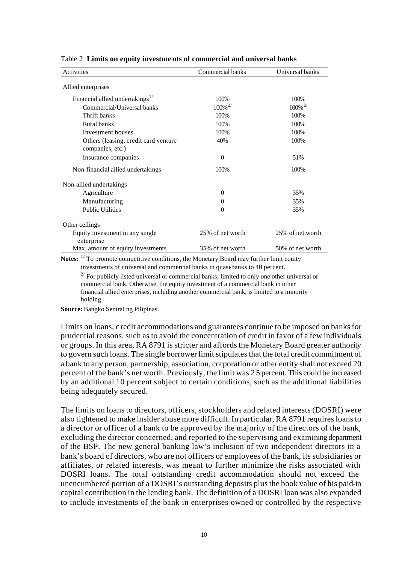| Activities                                    | Commercial banks      | Universal banks       |
|-----------------------------------------------|-----------------------|-----------------------|
| Allied enterprises                            |                       |                       |
| Financial allied undertakings $^{1/}$         | 100%                  | 100%                  |
| Commercial/Universal banks                    | $100\%$ <sup>2/</sup> | $100\%$ <sup>2/</sup> |
| Thrift banks                                  | 100%                  | 100%                  |
| Rural banks                                   | 100%                  | 100%                  |
| Investment houses                             | 100%                  | 100%                  |
| Others (leasing, credit card venture          | 40%                   | 100%                  |
| companies, etc.)                              |                       |                       |
| Insurance companies                           | $\theta$              | 51%                   |
| Non-financial allied undertakings             | 100%                  | 100%                  |
| Non-allied undertakings                       |                       |                       |
| Agriculture                                   | $\theta$              | 35%                   |
| Manufacturing                                 | $\Omega$              | 35%                   |
| <b>Public Utilities</b>                       | $\theta$              | 35%                   |
| Other ceilings                                |                       |                       |
| Equity investment in any single<br>enterprise | 25% of net worth      | 25% of net worth      |
| Max. amount of equity investments             | 35% of net worth      | 50% of net worth      |

Table 2 **Limits on equity investments of commercial and universal banks**

Notes: <sup>1/</sup> To promote competitive conditions, the Monetary Board may further limit equity investments of universal and commercial banks in quasi-banks to 40 percent.

 $2^{2}$  For publicly listed universal or commercial banks; limited to only one other universal or commercial bank. Otherwise, the equity investment of a commercial bank in other financial allied enterprises, including another commercial bank, is limited to a minority holding.

**Source:** Bangko Sentral ng Pilipinas.

Limits on loans, c redit accommodations and guarantees continue to be imposed on banks for prudential reasons, such as to avoid the concentration of credit in favor of a few individuals or groups. In this area, RA 8791 is stricter and affords the Monetary Board greater authority to govern such loans. The single borrower limit stipulates that the total credit commitment of a bank to any person, partnership, association, corporation or other entity shall not exceed 20 percent of the bank's net worth. Previously, the limit was 2 5 percent. This could be increased by an additional 10 percent subject to certain conditions, such as the additional liabilities being adequately secured.

The limits on loans to directors, officers, stockholders and related interests (DOSRI) were also tightened to make insider abuse more difficult. In particular, RA 8791 requires loans to a director or officer of a bank to be approved by the majority of the directors of the bank, excluding the director concerned, and reported to the supervising and examining department of the BSP. The new general banking law's inclusion of two independent directors in a bank's board of directors, who are not officers or employees of the bank, its subsidiaries or affiliates, or related interests, was meant to further minimize the risks associated with DOSRI loans. The total outstanding credit accommodation should not exceed the unencumbered portion of a DOSRI's outstanding deposits plus the book value of his paid-in capital contribution in the lending bank. The definition of a DOSRI loan was also expanded to include investments of the bank in enterprises owned or controlled by the respective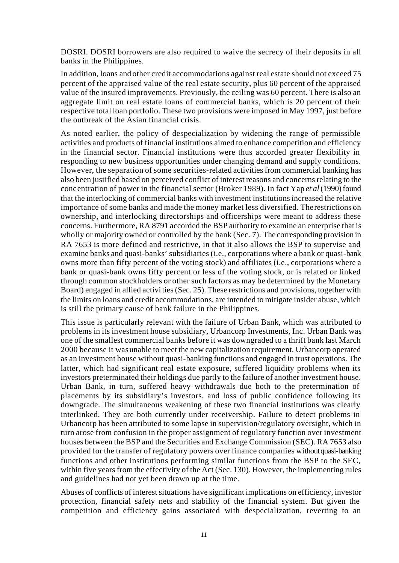DOSRI. DOSRI borrowers are also required to waive the secrecy of their deposits in all banks in the Philippines.

In addition, loans and other credit accommodations against real estate should not exceed 75 percent of the appraised value of the real estate security, plus 60 percent of the appraised value of the insured improvements. Previously, the ceiling was 60 percent. There is also an aggregate limit on real estate loans of commercial banks, which is 20 percent of their respective total loan portfolio. These two provisions were imposed in May 1997, just before the outbreak of the Asian financial crisis.

As noted earlier, the policy of despecialization by widening the range of permissible activities and products of financial institutions aimed to enhance competition and efficiency in the financial sector. Financial institutions were thus accorded greater flexibility in responding to new business opportunities under changing demand and supply conditions. However, the separation of some securities-related activities from commercial banking has also been justified based on perceived conflict of interest reasons and concerns relating to the concentration of power in the financial sector (Broker 1989). In fact Yap *et al* (1990) found that the interlocking of commercial banks with investment institutions increased the relative importance of some banks and made the money market less diversified. The restrictions on ownership, and interlocking directorships and officerships were meant to address these concerns. Furthermore, RA 8791 accorded the BSP authority to examine an enterprise that is wholly or majority owned or controlled by the bank (Sec. 7). The corresponding provision in RA 7653 is more defined and restrictive, in that it also allows the BSP to supervise and examine banks and quasi-banks' subsidiaries (i.e., corporations where a bank or quasi-bank owns more than fifty percent of the voting stock) and affiliates (i.e., corporations where a bank or quasi-bank owns fifty percent or less of the voting stock, or is related or linked through common stockholders or other such factors as may be determined by the Monetary Board) engaged in allied activi ties (Sec. 25). These restrictions and provisions, together with the limits on loans and credit accommodations, are intended to mitigate insider abuse, which is still the primary cause of bank failure in the Philippines.

This issue is particularly relevant with the failure of Urban Bank, which was attributed to problems in its investment house subsidiary, Urbancorp Investments, Inc. Urban Bank was one of the smallest commercial banks before it was downgraded to a thrift bank last March 2000 because it was unable to meet the new capitalization requirement. Urbancorp operated as an investment house without quasi-banking functions and engaged in trust operations. The latter, which had significant real estate exposure, suffered liquidity problems when its investors preterminated their holdings due partly to the failure of another investment house. Urban Bank, in turn, suffered heavy withdrawals due both to the pretermination of placements by its subsidiary's investors, and loss of public confidence following its downgrade. The simultaneous weakening of these two financial institutions was clearly interlinked. They are both currently under receivership. Failure to detect problems in Urbancorp has been attributed to some lapse in supervision/regulatory oversight, which in turn arose from confusion in the proper assignment of regulatory function over investment houses between the BSP and the Securities and Exchange Commission (SEC). RA 7653 also provided for the transfer of regulatory powers over finance companies without quasi-banking functions and other institutions performing similar functions from the BSP to the SEC, within five years from the effectivity of the Act (Sec. 130). However, the implementing rules and guidelines had not yet been drawn up at the time.

Abuses of conflicts of interest situations have significant implications on efficiency, investor protection, financial safety nets and stability of the financial system. But given the competition and efficiency gains associated with despecialization, reverting to an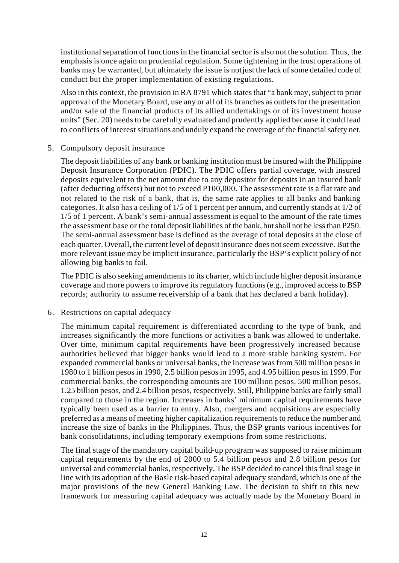institutional separation of functions in the financial sector is also not the solution. Thus, the emphasis is once again on prudential regulation. Some tightening in the trust operations of banks may be warranted, but ultimately the issue is not just the lack of some detailed code of conduct but the proper implementation of existing regulations.

Also in this context, the provision in RA 8791 which states that "a bank may, subject to prior approval of the Monetary Board, use any or all of its branches as outlets for the presentation and/or sale of the financial products of its allied undertakings or of its investment house units" (Sec. 20) needs to be carefully evaluated and prudently applied because it could lead to conflicts of interest situations and unduly expand the coverage of the financial safety net.

#### 5. Compulsory deposit insurance

The deposit liabilities of any bank or banking institution must be insured with the Philippine Deposit Insurance Corporation (PDIC). The PDIC offers partial coverage, with insured deposits equivalent to the net amount due to any depositor for deposits in an insured bank (after deducting offsets) but not to exceed P100,000. The assessment rate is a flat rate and not related to the risk of a bank, that is, the same rate applies to all banks and banking categories. It also has a ceiling of 1/5 of 1 percent per annum, and currently stands at 1/2 of 1/5 of 1 percent. A bank's semi-annual assessment is equal to the amount of the rate times the assessment base or the total deposit liabilities of the bank, but shall not be less than P250. The semi-annual assessment base is defined as the average of total deposits at the close of each quarter. Overall, the current level of deposit insurance does not seem excessive. But the more relevant issue may be implicit insurance, particularly the BSP's explicit policy of not allowing big banks to fail.

The PDIC is also seeking amendments to its charter, which include higher deposit insurance coverage and more powers to improve its regulatory functions (e.g., improved access to BSP records; authority to assume receivership of a bank that has declared a bank holiday).

#### 6. Restrictions on capital adequacy

The minimum capital requirement is differentiated according to the type of bank, and increases significantly the more functions or activities a bank was allowed to undertake. Over time, minimum capital requirements have been progressively increased because authorities believed that bigger banks would lead to a more stable banking system. For expanded commercial banks or universal banks, the increase was from 500 million pesos in 1980 to 1 billion pesos in 1990, 2.5 billion pesos in 1995, and 4.95 billion pesos in 1999. For commercial banks, the corresponding amounts are 100 million pesos, 500 million pesos, 1.25 billion pesos, and 2.4 billion pesos, respectively. Still, Philippine banks are fairly small compared to those in the region. Increases in banks' minimum capital requirements have typically been used as a barrier to entry. Also, mergers and acquisitions are especially preferred as a means of meeting higher capitalization requirements to reduce the number and increase the size of banks in the Philippines. Thus, the BSP grants various incentives for bank consolidations, including temporary exemptions from some restrictions.

The final stage of the mandatory capital build-up program was supposed to raise minimum capital requirements by the end of 2000 to 5.4 billion pesos and 2.8 billion pesos for universal and commercial banks, respectively. The BSP decided to cancel this final stage in line with its adoption of the Basle risk-based capital adequacy standard, which is one of the major provisions of the new General Banking Law. The decision to shift to this new framework for measuring capital adequacy was actually made by the Monetary Board in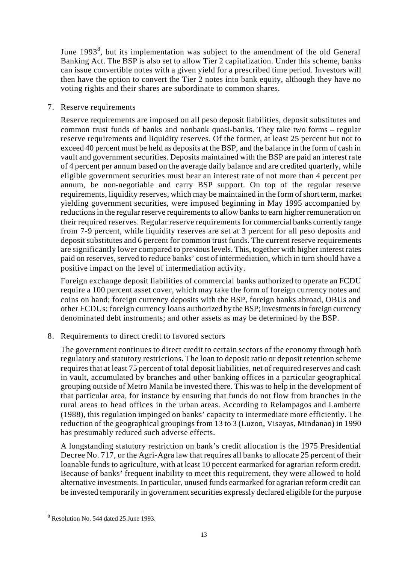June 1993<sup>8</sup>, but its implementation was subject to the amendment of the old General Banking Act. The BSP is also set to allow Tier 2 capitalization. Under this scheme, banks can issue convertible notes with a given yield for a prescribed time period. Investors will then have the option to convert the Tier 2 notes into bank equity, although they have no voting rights and their shares are subordinate to common shares.

## 7. Reserve requirements

Reserve requirements are imposed on all peso deposit liabilities, deposit substitutes and common trust funds of banks and nonbank quasi-banks. They take two forms – regular reserve requirements and liquidity reserves. Of the former, at least 25 percent but not to exceed 40 percent must be held as deposits at the BSP, and the balance in the form of cash in vault and government securities. Deposits maintained with the BSP are paid an interest rate of 4 percent per annum based on the average daily balance and are credited quarterly, while eligible government securities must bear an interest rate of not more than 4 percent per annum, be non-negotiable and carry BSP support. On top of the regular reserve requirements, liquidity reserves, which may be maintained in the form of short term, market yielding government securities, were imposed beginning in May 1995 accompanied by reductions in the regular reserve requirements to allow banks to earn higher remuneration on their required reserves. Regular reserve requirements for commercial banks currently range from 7-9 percent, while liquidity reserves are set at 3 percent for all peso deposits and deposit substitutes and 6 percent for common trust funds. The current reserve requirements are significantly lower compared to previous levels. This, together with higher interest rates paid on reserves, served to reduce banks' cost of intermediation, which in turn should have a positive impact on the level of intermediation activity.

Foreign exchange deposit liabilities of commercial banks authorized to operate an FCDU require a 100 percent asset cover, which may take the form of foreign currency notes and coins on hand; foreign currency deposits with the BSP, foreign banks abroad, OBUs and other FCDUs; foreign currency loans authorized by the BSP; investments in foreign currency denominated debt instruments; and other assets as may be determined by the BSP.

8. Requirements to direct credit to favored sectors

The government continues to direct credit to certain sectors of the economy through both regulatory and statutory restrictions. The loan to deposit ratio or deposit retention scheme requires that at least 75 percent of total deposit liabilities, net of required reserves and cash in vault, accumulated by branches and other banking offices in a particular geographical grouping outside of Metro Manila be invested there. This was to help in the development of that particular area, for instance by ensuring that funds do not flow from branches in the rural areas to head offices in the urban areas. According to Relampagos and Lamberte (1988), this regulation impinged on banks' capacity to intermediate more efficiently. The reduction of the geographical groupings from 13 to 3 (Luzon, Visayas, Mindanao) in 1990 has presumably reduced such adverse effects.

A longstanding statutory restriction on bank's credit allocation is the 1975 Presidential Decree No. 717, or the Agri-Agra law that requires all banks to allocate 25 percent of their loanable funds to agriculture, with at least 10 percent earmarked for agrarian reform credit. Because of banks' frequent inability to meet this requirement, they were allowed to hold alternative investments. In particular, unused funds earmarked for agrarian reform credit can be invested temporarily in government securities expressly declared eligible for the purpose

l

<sup>&</sup>lt;sup>8</sup> Resolution No. 544 dated 25 June 1993.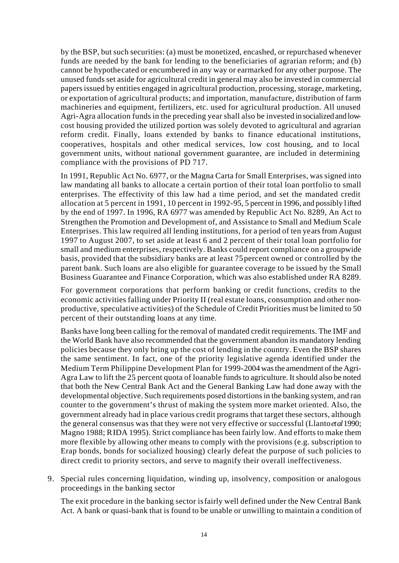by the BSP, but such securities: (a) must be monetized, encashed, or repurchased whenever funds are needed by the bank for lending to the beneficiaries of agrarian reform; and (b) cannot be hypothecated or encumbered in any way or earmarked for any other purpose. The unused funds set aside for agricultural credit in general may also be invested in commercial papers issued by entities engaged in agricultural production, processing, storage, marketing, or exportation of agricultural products; and importation, manufacture, distribution of farm machineries and equipment, fertilizers, etc. used for agricultural production. All unused Agri-Agra allocation funds in the preceding year shall also be invested in socialized and lowcost housing provided the utilized portion was solely devoted to agricultural and agrarian reform credit. Finally, loans extended by banks to finance educational institutions, cooperatives, hospitals and other medical services, low cost housing, and to local government units, without national government guarantee, are included in determining compliance with the provisions of PD 717.

In 1991, Republic Act No. 6977, or the Magna Carta for Small Enterprises, was signed into law mandating all banks to allocate a certain portion of their total loan portfolio to small enterprises. The effectivity of this law had a time period, and set the mandated credit allocation at 5 percent in 1991, 10 percent in 1992-95, 5 percent in 1996, and possibly lifted by the end of 1997. In 1996, RA 6977 was amended by Republic Act No. 8289, An Act to Strengthen the Promotion and Development of, and Assistance to Small and Medium Scale Enterprises. This law required all lending institutions, for a period of ten years from August 1997 to August 2007, to set aside at least 6 and 2 percent of their total loan portfolio for small and medium enterprises, respectively. Banks could report compliance on a groupwide basis, provided that the subsidiary banks are at least 75 percent owned or controlled by the parent bank. Such loans are also eligible for guarantee coverage to be issued by the Small Business Guarantee and Finance Corporation, which was also established under RA 8289.

For government corporations that perform banking or credit functions, credits to the economic activities falling under Priority II (real estate loans, consumption and other nonproductive, speculative activities) of the Schedule of Credit Priorities must be limited to 50 percent of their outstanding loans at any time.

Banks have long been calling for the removal of mandated credit requirements. The IMF and the World Bank have also recommended that the government abandon its mandatory lending policies because they only bring up the cost of lending in the country. Even the BSP shares the same sentiment. In fact, one of the priority legislative agenda identified under the Medium Term Philippine Development Plan for 1999-2004 was the amendment of the Agri-Agra Law to lift the 25 percent quota of loanable funds to agriculture. It should also be noted that both the New Central Bank Act and the General Banking Law had done away with the developmental objective. Such requirements posed distortions in the banking system, and ran counter to the government's thrust of making the system more market oriented. Also, the government already had in place various credit programs that target these sectors, although the general consensus was that they were not very effective or successful (Llanto *et al* 1990; Magno 1988; RIDA 1995). Strict compliance has been fairly low. And efforts to make them more flexible by allowing other means to comply with the provisions (e.g. subscription to Erap bonds, bonds for socialized housing) clearly defeat the purpose of such policies to direct credit to priority sectors, and serve to magnify their overall ineffectiveness.

9. Special rules concerning liquidation, winding up, insolvency, composition or analogous proceedings in the banking sector

The exit procedure in the banking sector is fairly well defined under the New Central Bank Act. A bank or quasi-bank that is found to be unable or unwilling to maintain a condition of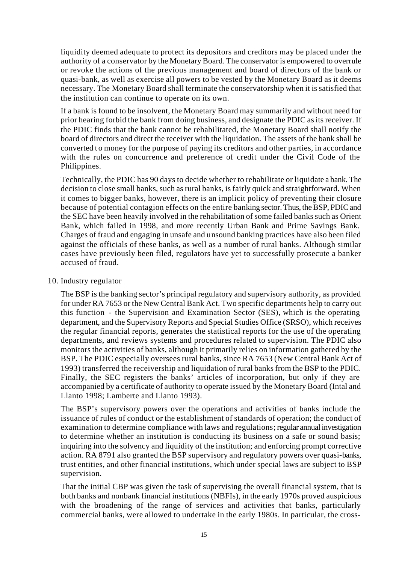liquidity deemed adequate to protect its depositors and creditors may be placed under the authority of a conservator by the Monetary Board. The conservator is empowered to overrule or revoke the actions of the previous management and board of directors of the bank or quasi-bank, as well as exercise all powers to be vested by the Monetary Board as it deems necessary. The Monetary Board shall terminate the conservatorship when it is satisfied that the institution can continue to operate on its own.

If a bank is found to be insolvent, the Monetary Board may summarily and without need for prior hearing forbid the bank from doing business, and designate the PDIC as its receiver. If the PDIC finds that the bank cannot be rehabilitated, the Monetary Board shall notify the board of directors and direct the receiver with the liquidation. The assets of the bank shall be converted to money for the purpose of paying its creditors and other parties, in accordance with the rules on concurrence and preference of credit under the Civil Code of the Philippines.

Technically, the PDIC has 90 days to decide whether to rehabilitate or liquidate a bank. The decision to close small banks, such as rural banks, is fairly quick and straightforward. When it comes to bigger banks, however, there is an implicit policy of preventing their closure because of potential contagion effects on the entire banking sector. Thus, the BSP, PDIC and the SEC have been heavily involved in the rehabilitation of some failed banks such as Orient Bank, which failed in 1998, and more recently Urban Bank and Prime Savings Bank. Charges of fraud and engaging in unsafe and unsound banking practices have also been filed against the officials of these banks, as well as a number of rural banks. Although similar cases have previously been filed, regulators have yet to successfully prosecute a banker accused of fraud.

#### 10. Industry regulator

The BSP is the banking sector's principal regulatory and supervisory authority, as provided for under RA 7653 or the New Central Bank Act. Two specific departments help to carry out this function - the Supervision and Examination Sector (SES), which is the operating department, and the Supervisory Reports and Special Studies Office (SRSO), which receives the regular financial reports, generates the statistical reports for the use of the operating departments, and reviews systems and procedures related to supervision. The PDIC also monitors the activities of banks, although it primarily relies on information gathered by the BSP. The PDIC especially oversees rural banks, since RA 7653 (New Central Bank Act of 1993) transferred the receivership and liquidation of rural banks from the BSP to the PDIC. Finally, the SEC registers the banks' articles of incorporation, but only if they are accompanied by a certificate of authority to operate issued by the Monetary Board (Intal and Llanto 1998; Lamberte and Llanto 1993).

The BSP's supervisory powers over the operations and activities of banks include the issuance of rules of conduct or the establishment of standards of operation; the conduct of examination to determine compliance with laws and regulations; regular annual investigation to determine whether an institution is conducting its business on a safe or sound basis; inquiring into the solvency and liquidity of the institution; and enforcing prompt corrective action. RA 8791 also granted the BSP supervisory and regulatory powers over quasi-banks, trust entities, and other financial institutions, which under special laws are subject to BSP supervision.

That the initial CBP was given the task of supervising the overall financial system, that is both banks and nonbank financial institutions (NBFIs), in the early 1970s proved auspicious with the broadening of the range of services and activities that banks, particularly commercial banks, were allowed to undertake in the early 1980s. In particular, the cross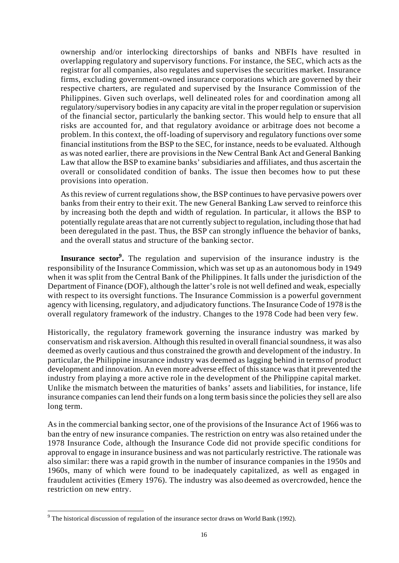ownership and/or interlocking directorships of banks and NBFIs have resulted in overlapping regulatory and supervisory functions. For instance, the SEC, which acts as the registrar for all companies, also regulates and supervises the securities market. Insurance firms, excluding government-owned insurance corporations which are governed by their respective charters, are regulated and supervised by the Insurance Commission of the Philippines. Given such overlaps, well delineated roles for and coordination among all regulatory/supervisory bodies in any capacity are vital in the proper regulation or supervision of the financial sector, particularly the banking sector. This would help to ensure that all risks are accounted for, and that regulatory avoidance or arbitrage does not become a problem. In this context, the off-loading of supervisory and regulatory functions over some financial institutions from the BSP to the SEC, for instance, needs to be evaluated. Although as was noted earlier, there are provisions in the New Central Bank Act and General Banking Law that allow the BSP to examine banks' subsidiaries and affiliates, and thus ascertain the overall or consolidated condition of banks. The issue then becomes how to put these provisions into operation.

As this review of current regulations show, the BSP continues to have pervasive powers over banks from their entry to their exit. The new General Banking Law served to reinforce this by increasing both the depth and width of regulation. In particular, it allows the BSP to potentially regulate areas that are not currently subject to regulation, including those that had been deregulated in the past. Thus, the BSP can strongly influence the behavior of banks, and the overall status and structure of the banking sector.

**Insurance sector<sup>9</sup>**. The regulation and supervision of the insurance industry is the responsibility of the Insurance Commission, which was set up as an autonomous body in 1949 when it was split from the Central Bank of the Philippines. It falls under the jurisdiction of the Department of Finance (DOF), although the latter's role is not well defined and weak, especially with respect to its oversight functions. The Insurance Commission is a powerful government agency with licensing, regulatory, and adjudicatory functions. The Insurance Code of 1978 is the overall regulatory framework of the industry. Changes to the 1978 Code had been very few.

Historically, the regulatory framework governing the insurance industry was marked by conservatism and risk aversion. Although this resulted in overall financial soundness, it was also deemed as overly cautious and thus constrained the growth and development of the industry. In particular, the Philippine insurance industry was deemed as lagging behind in terms of product development and innovation. An even more adverse effect of this stance was that it prevented the industry from playing a more active role in the development of the Philippine capital market. Unlike the mismatch between the maturities of banks' assets and liabilities, for instance, life insurance companies can lend their funds on a long term basis since the policies they sell are also long term.

As in the commercial banking sector, one of the provisions of the Insurance Act of 1966 was to ban the entry of new insurance companies. The restriction on entry was also retained under the 1978 Insurance Code, although the Insurance Code did not provide specific conditions for approval to engage in insurance business and was not particularly restrictive. The rationale was also similar: there was a rapid growth in the number of insurance companies in the 1950s and 1960s, many of which were found to be inadequately capitalized, as well as engaged in fraudulent activities (Emery 1976). The industry was also deemed as overcrowded, hence the restriction on new entry.

l

 $9$  The historical discussion of regulation of the insurance sector draws on World Bank (1992).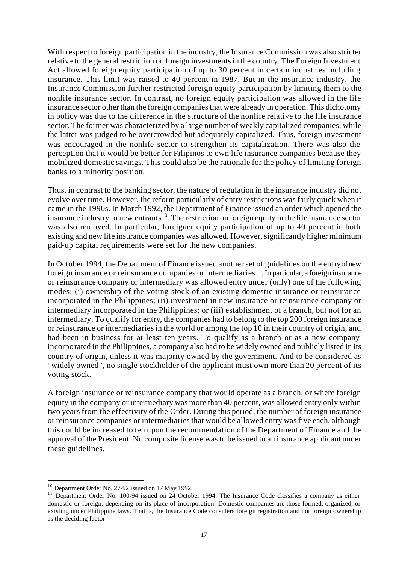With respect to foreign participation in the industry, the Insurance Commission was also stricter relative to the general restriction on foreign investments in the country. The Foreign Investment Act allowed foreign equity participation of up to 30 percent in certain industries including insurance. This limit was raised to 40 percent in 1987. But in the insurance industry, the Insurance Commission further restricted foreign equity participation by limiting them to the nonlife insurance sector. In contrast, no foreign equity participation was allowed in the life insurance sector other than the foreign companies that were already in operation. This dichotomy in policy was due to the difference in the structure of the nonlife relative to the life insurance sector. The former was characterized by a large number of weakly capitalized companies, while the latter was judged to be overcrowded but adequately capitalized. Thus, foreign investment was encouraged in the nonlife sector to strengthen its capitalization. There was also the perception that it would be better for Filipinos to own life insurance companies because they mobilized domestic savings. This could also be the rationale for the policy of limiting foreign banks to a minority position.

Thus, in contrast to the banking sector, the nature of regulation in the insurance industry did not evolve over time. However, the reform particularly of entry restrictions was fairly quick when it came in the 1990s. In March 1992, the Department of Finance issued an order which opened the insurance industry to new entrants<sup>10</sup>. The restriction on foreign equity in the life insurance sector was also removed. In particular, foreigner equity participation of up to 40 percent in both existing and new life insurance companies was allowed. However, significantly higher minimum paid-up capital requirements were set for the new companies.

In October 1994, the Department of Finance issued another set of guidelines on the entry of new foreign insurance or reinsurance companies or intermediaries<sup>11</sup>. In particular, a foreign insurance or reinsurance company or intermediary was allowed entry under (only) one of the following modes: (i) ownership of the voting stock of an existing domestic insurance or reinsurance incorporated in the Philippines; (ii) investment in new insurance or reinsurance company or intermediary incorporated in the Philippines; or (iii) establishment of a branch, but not for an intermediary. To qualify for entry, the companies had to belong to the top 200 foreign insurance or reinsurance or intermediaries in the world or among the top 10 in their country of origin, and had been in business for at least ten years. To qualify as a branch or as a new company incorporated in the Philippines, a company also had to be widely owned and publicly listed in its country of origin, unless it was majority owned by the government. And to be considered as "widely owned", no single stockholder of the applicant must own more than 20 percent of its voting stock.

A foreign insurance or reinsurance company that would operate as a branch, or where foreign equity in the company or intermediary was more than 40 percent, was allowed entry only within two years from the effectivity of the Order. During this period, the number of foreign insurance or reinsurance companies or intermediaries that would be allowed entry was five each, although this could be increased to ten upon the recommendation of the Department of Finance and the approval of the President. No composite license was to be issued to an insurance applicant under these guidelines.

l

<sup>&</sup>lt;sup>10</sup> Department Order No. 27-92 issued on 17 May 1992.

<sup>&</sup>lt;sup>11</sup> Department Order No. 100-94 issued on 24 October 1994. The Insurance Code classifies a company as either domestic or foreign, depending on its place of incorporation. Domestic companies are those formed, organized, or existing under Philippine laws. That is, the Insurance Code considers foreign registration and not foreign ownership as the deciding factor.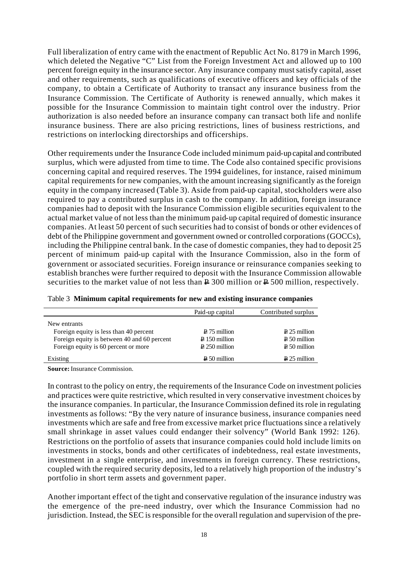Full liberalization of entry came with the enactment of Republic Act No. 8179 in March 1996, which deleted the Negative "C" List from the Foreign Investment Act and allowed up to 100 percent foreign equity in the insurance sector. Any insurance company must satisfy capital, asset and other requirements, such as qualifications of executive officers and key officials of the company, to obtain a Certificate of Authority to transact any insurance business from the Insurance Commission. The Certificate of Authority is renewed annually, which makes it possible for the Insurance Commission to maintain tight control over the industry. Prior authorization is also needed before an insurance company can transact both life and nonlife insurance business. There are also pricing restrictions, lines of business restrictions, and restrictions on interlocking directorships and officerships.

Other requirements under the Insurance Code included minimum paid-up capital and contributed surplus, which were adjusted from time to time. The Code also contained specific provisions concerning capital and required reserves. The 1994 guidelines, for instance, raised minimum capital requirements for new companies, with the amount increasing significantly as the foreign equity in the company increased (Table 3). Aside from paid-up capital, stockholders were also required to pay a contributed surplus in cash to the company. In addition, foreign insurance companies had to deposit with the Insurance Commission eligible securities equivalent to the actual market value of not less than the minimum paid-up capital required of domestic insurance companies. At least 50 percent of such securities had to consist of bonds or other evidences of debt of the Philippine government and government owned or controlled corporations (GOCCs), including the Philippine central bank. In the case of domestic companies, they had to deposit 25 percent of minimum paid-up capital with the Insurance Commission, also in the form of government or associated securities. Foreign insurance or reinsurance companies seeking to establish branches were further required to deposit with the Insurance Commission allowable securities to the market value of not less than  $\geq 300$  million or  $\geq 500$  million, respectively.

|                                             | Paid-up capital        | Contributed surplus   |
|---------------------------------------------|------------------------|-----------------------|
| New entrants                                |                        |                       |
| Foreign equity is less than 40 percent      | $\sqrt{2}$ 75 million  | $\sqrt{25}$ million   |
| Foreign equity is between 40 and 60 percent | $\sqrt{2}$ 150 million | $\sqrt{2}$ 50 million |
| Foreign equity is 60 percent or more        | $\geq 250$ million     | $\sqrt{2}$ 50 million |
| Existing                                    | $\sqrt{P} 50$ million  | $\sqrt{25}$ million   |

|  | Table 3 Minimum capital requirements for new and existing insurance companies |  |  |
|--|-------------------------------------------------------------------------------|--|--|
|  |                                                                               |  |  |

**Source:** Insurance Commission.

In contrast to the policy on entry, the requirements of the Insurance Code on investment policies and practices were quite restrictive, which resulted in very conservative investment choices by the insurance companies. In particular, the Insurance Commission defined its role in regulating investments as follows: "By the very nature of insurance business, insurance companies need investments which are safe and free from excessive market price fluctuations since a relatively small shrinkage in asset values could endanger their solvency" (World Bank 1992: 126). Restrictions on the portfolio of assets that insurance companies could hold include limits on investments in stocks, bonds and other certificates of indebtedness, real estate investments, investment in a single enterprise, and investments in foreign currency. These restrictions, coupled with the required security deposits, led to a relatively high proportion of the industry's portfolio in short term assets and government paper.

Another important effect of the tight and conservative regulation of the insurance industry was the emergence of the pre-need industry, over which the Insurance Commission had no jurisdiction. Instead, the SEC is responsible for the overall regulation and supervision of the pre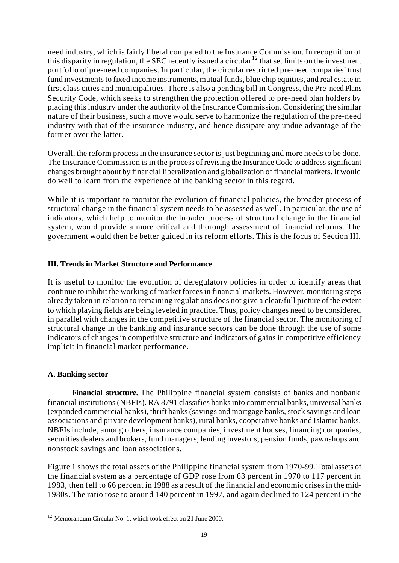need industry, which is fairly liberal compared to the Insurance Commission. In recognition of this disparity in regulation, the SEC recently issued a circular  $12$  that set limits on the investment portfolio of pre-need companies. In particular, the circular restricted pre-need companies' trust fund investments to fixed income instruments, mutual funds, blue chip equities, and real estate in first class cities and municipalities. There is also a pending bill in Congress, the Pre-need Plans Security Code, which seeks to strengthen the protection offered to pre-need plan holders by placing this industry under the authority of the Insurance Commission. Considering the similar nature of their business, such a move would serve to harmonize the regulation of the pre-need industry with that of the insurance industry, and hence dissipate any undue advantage of the former over the latter.

Overall, the reform process in the insurance sector is just beginning and more needs to be done. The Insurance Commission is in the process of revising the Insurance Code to address significant changes brought about by financial liberalization and globalization of financial markets. It would do well to learn from the experience of the banking sector in this regard.

While it is important to monitor the evolution of financial policies, the broader process of structural change in the financial system needs to be assessed as well. In particular, the use of indicators, which help to monitor the broader process of structural change in the financial system, would provide a more critical and thorough assessment of financial reforms. The government would then be better guided in its reform efforts. This is the focus of Section III.

# **III. Trends in Market Structure and Performance**

It is useful to monitor the evolution of deregulatory policies in order to identify areas that continue to inhibit the working of market forces in financial markets. However, monitoring steps already taken in relation to remaining regulations does not give a clear/full picture of the extent to which playing fields are being leveled in practice. Thus, policy changes need to be considered in parallel with changes in the competitive structure of the financial sector. The monitoring of structural change in the banking and insurance sectors can be done through the use of some indicators of changes in competitive structure and indicators of gains in competitive efficiency implicit in financial market performance.

# **A. Banking sector**

l

**Financial structure.** The Philippine financial system consists of banks and nonbank financial institutions (NBFIs). RA 8791 classifies banks into commercial banks, universal banks (expanded commercial banks), thrift banks (savings and mortgage banks, stock savings and loan associations and private development banks), rural banks, cooperative banks and Islamic banks. NBFIs include, among others, insurance companies, investment houses, financing companies, securities dealers and brokers, fund managers, lending investors, pension funds, pawnshops and nonstock savings and loan associations.

Figure 1 shows the total assets of the Philippine financial system from 1970-99. Total assets of the financial system as a percentage of GDP rose from 63 percent in 1970 to 117 percent in 1983, then fell to 66 percent in 1988 as a result of the financial and economic crises in the mid-1980s. The ratio rose to around 140 percent in 1997, and again declined to 124 percent in the

 $12$  Memorandum Circular No. 1, which took effect on 21 June 2000.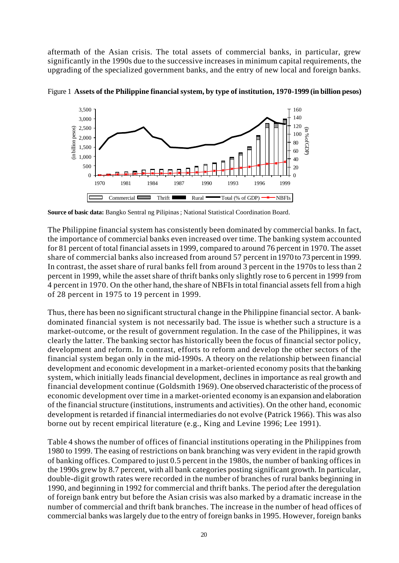aftermath of the Asian crisis. The total assets of commercial banks, in particular, grew significantly in the 1990s due to the successive increases in minimum capital requirements, the upgrading of the specialized government banks, and the entry of new local and foreign banks.



Figure 1 **Assets of the Philippine financial system, by type of institution, 1970-1999 (in billion pesos)**

**Source of basic data:** Bangko Sentral ng Pilipinas ; National Statistical Coordination Board.

The Philippine financial system has consistently been dominated by commercial banks. In fact, the importance of commercial banks even increased over time. The banking system accounted for 81 percent of total financial assets in 1999, compared to around 76 percent in 1970. The asset share of commercial banks also increased from around 57 percent in 1970 to 73 percent in 1999. In contrast, the asset share of rural banks fell from around 3 percent in the 1970s to less than 2 percent in 1999, while the asset share of thrift banks only slightly rose to 6 percent in 1999 from 4 percent in 1970. On the other hand, the share of NBFIs in total financial assets fell from a high of 28 percent in 1975 to 19 percent in 1999.

Thus, there has been no significant structural change in the Philippine financial sector. A bankdominated financial system is not necessarily bad. The issue is whether such a structure is a market-outcome, or the result of government regulation. In the case of the Philippines, it was clearly the latter. The banking sector has historically been the focus of financial sector policy, development and reform. In contrast, efforts to reform and develop the other sectors of the financial system began only in the mid-1990s. A theory on the relationship between financial development and economic development in a market-oriented economy posits that the banking system, which initially leads financial development, declines in importance as real growth and financial development continue (Goldsmith 1969). One observed characteristic of the process of economic development over time in a market-oriented economy is an expansion and elaboration of the financial structure (institutions, instruments and activities). On the other hand, economic development is retarded if financial intermediaries do not evolve (Patrick 1966). This was also borne out by recent empirical literature (e.g., King and Levine 1996; Lee 1991).

Table 4 shows the number of offices of financial institutions operating in the Philippines from 1980 to 1999. The easing of restrictions on bank branching was very evident in the rapid growth of banking offices. Compared to just 0.5 percent in the 1980s, the number of banking offices in the 1990s grew by 8.7 percent, with all bank categories posting significant growth. In particular, double-digit growth rates were recorded in the number of branches of rural banks beginning in 1990, and beginning in 1992 for commercial and thrift banks. The period after the deregulation of foreign bank entry but before the Asian crisis was also marked by a dramatic increase in the number of commercial and thrift bank branches. The increase in the number of head offices of commercial banks was largely due to the entry of foreign banks in 1995. However, foreign banks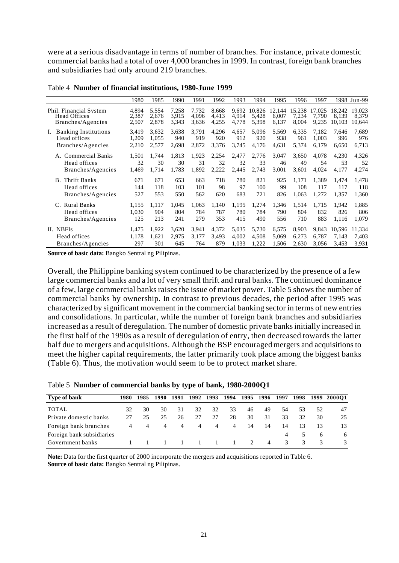were at a serious disadvantage in terms of number of branches. For instance, private domestic commercial banks had a total of over 4,000 branches in 1999. In contrast, foreign bank branches and subsidiaries had only around 219 branches.

|                                                                        | 1980                    | 1985                    | 1990                    | 1991                    | 1992                    | 1993                    | 1994                           | 1995                     | 1996                     | 1997                     |                           | 1998 Jun-99               |
|------------------------------------------------------------------------|-------------------------|-------------------------|-------------------------|-------------------------|-------------------------|-------------------------|--------------------------------|--------------------------|--------------------------|--------------------------|---------------------------|---------------------------|
| Phil. Financial System<br><b>Head Offices</b><br>Branches/Agencies     | 4,894<br>2,387<br>2,507 | 5,554<br>2,676<br>2,878 | 7.258<br>3,915<br>3,343 | 7,732<br>4,096<br>3,636 | 8,668<br>4,413<br>4,255 | 4,914<br>4,778          | 9,692 10,826<br>5,428<br>5,398 | 12.144<br>6.007<br>6,137 | 15,238<br>7,234<br>8,004 | 17.025<br>7,790<br>9,235 | 18,242<br>8.139<br>10.103 | 19,023<br>8,379<br>10,644 |
| <b>Banking Institutions</b><br>Ι.<br>Head offices<br>Branches/Agencies | 3,419<br>1,209<br>2,210 | 3.632<br>1.055<br>2,577 | 3,638<br>940<br>2.698   | 3,791<br>919<br>2,872   | 4,296<br>920<br>3,376   | 4,657<br>912<br>3,745   | 5,096<br>920<br>4,176          | 5,569<br>938<br>4,631    | 6,335<br>961<br>5,374    | 7,182<br>1,003<br>6,179  | 7,646<br>996<br>6,650     | 7,689<br>976<br>6,713     |
| A. Commercial Banks<br>Head offices<br>Branches/Agencies               | 1,501<br>32<br>1,469    | 1,744<br>30<br>1.714    | 1,813<br>30<br>1,783    | 1,923<br>31<br>1,892    | 2,254<br>32<br>2,222    | 2,477<br>32<br>2,445    | 2,776<br>33<br>2,743           | 3,047<br>46<br>3,001     | 3,650<br>49<br>3,601     | 4,078<br>54<br>4,024     | 4,230<br>53<br>4,177      | 4,326<br>52<br>4,274      |
| <b>Thrift Banks</b><br>B.<br>Head offices<br>Branches/Agencies         | 671<br>144<br>527       | 671<br>118<br>553       | 653<br>103<br>550       | 663<br>101<br>562       | 718<br>98<br>620        | 780<br>97<br>683        | 821<br>100<br>721              | 925<br>99<br>826         | 1,171<br>108<br>1.063    | 1,389<br>117<br>1.272    | 1.474<br>117<br>1.357     | 1,478<br>118<br>1,360     |
| <b>Rural Banks</b><br>C.<br>Head offices<br>Branches/Agencies          | 1,155<br>1,030<br>125   | 1.117<br>904<br>213     | 1,045<br>804<br>241     | 1,063<br>784<br>279     | 1,140<br>787<br>353     | 1,195<br>780<br>415     | 1,274<br>784<br>490            | 1,346<br>790<br>556      | 1,514<br>804<br>710      | 1,715<br>832<br>883      | 1,942<br>826<br>1.116     | 1,885<br>806<br>1,079     |
| II. NBFIs<br>Head offices<br>Branches/Agencies                         | 1,475<br>1,178<br>297   | 1,922<br>1,621<br>301   | 3,620<br>2,975<br>645   | 3,941<br>3,177<br>764   | 4,372<br>3,493<br>879   | 5,035<br>4,002<br>1.033 | 5,730<br>4,508<br>1,222        | 6,575<br>5,069<br>1,506  | 8,903<br>6,273<br>2,630  | 9,843<br>6,787<br>3.056  | 10.596<br>7,143<br>3.453  | 11,334<br>7,403<br>3,931  |

Table 4 **Number of financial institutions, 1980-June 1999**

**Source of basic data:** Bangko Sentral ng Pilipinas.

Overall, the Philippine banking system continued to be characterized by the presence of a few large commercial banks and a lot of very small thrift and rural banks. The continued dominance of a few, large commercial banks raises the issue of market power. Table 5 shows the number of commercial banks by ownership. In contrast to previous decades, the period after 1995 was characterized by significant movement in the commercial banking sector in terms of new entries and consolidations. In particular, while the number of foreign bank branches and subsidiaries increased as a result of deregulation. The number of domestic private banks initially increased in the first half of the 1990s as a result of deregulation of entry, then decreased towards the latter half due to mergers and acquisitions. Although the BSP encouraged mergers and acquisitions to meet the higher capital requirements, the latter primarily took place among the biggest banks (Table 6). Thus, the motivation would seem to be to protect market share.

|  |  | Table 5 Number of commercial banks by type of bank, 1980-2000Q1 |  |  |  |
|--|--|-----------------------------------------------------------------|--|--|--|
|--|--|-----------------------------------------------------------------|--|--|--|

| 1980 | 1985 | 1990           | 1991 |    | 1993           | 1994             |    |                |                          | 1998 |    | 1999 200001 |
|------|------|----------------|------|----|----------------|------------------|----|----------------|--------------------------|------|----|-------------|
| 32   | 30   | 30             | 31   | 32 | 32             | 33               | 46 | 49             | 54                       | 53   | 52 | 47          |
| 27   | 25   | 25             | 26   | 27 | 27             | 28               | 30 | 31             | 33                       | 32   | 30 | 25          |
| 4    | 4    | $\overline{4}$ | 4    | 4  | $\overline{4}$ | 4                | 14 | 14             | 14                       | 13   | 13 | 13          |
|      |      |                |      |    |                |                  |    |                | $\overline{4}$           |      | 6  | 6           |
|      |      |                |      |    | $\sim$ 1       |                  |    | $\overline{4}$ | 3                        | 3    | 3  | 3           |
|      |      |                |      |    |                | 1992<br>$\sim$ 1 |    | $\sim$ 1       | 1995 1996<br>$2^{\circ}$ | 1997 |    |             |

**Note:** Data for the first quarter of 2000 incorporate the mergers and acquisitions reported in Table 6. **Source of basic data:** Bangko Sentral ng Pilipinas.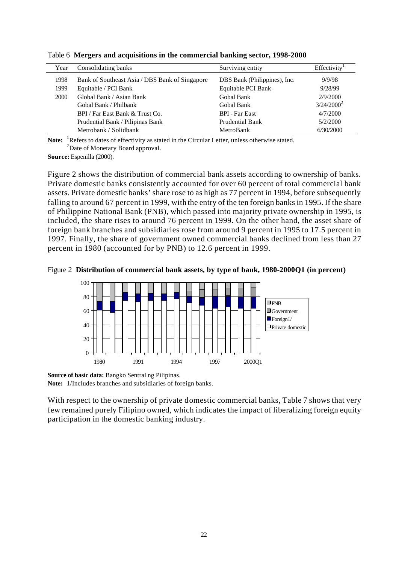| Year | Consolidating banks                            | Surviving entity             | Effectivity   |
|------|------------------------------------------------|------------------------------|---------------|
| 1998 | Bank of Southeast Asia / DBS Bank of Singapore | DBS Bank (Philippines), Inc. | 9/9/98        |
| 1999 | Equitable / PCI Bank                           | Equitable PCI Bank           | 9/28/99       |
| 2000 | Global Bank / Asian Bank                       | Gobal Bank                   | 2/9/2000      |
|      | Gobal Bank / Philbank                          | Gobal Bank                   | $3/24/2000^2$ |
|      | BPI / Far East Bank & Trust Co.                | <b>BPI</b> - Far East        | 4/7/2000      |
|      | Prudential Bank / Pilipinas Bank               | Prudential Bank              | 5/2/2000      |
|      | Metrobank / Solidbank                          | MetroBank                    | 6/30/2000     |

Table 6 **Mergers and acquisitions in the commercial banking sector, 1998-2000**

Note: <sup>1</sup>Refers to dates of effectivity as stated in the Circular Letter, unless otherwise stated. <sup>2</sup>Date of Monetary Board approval.

**Source:** Espenilla (2000).

Figure 2 shows the distribution of commercial bank assets according to ownership of banks. Private domestic banks consistently accounted for over 60 percent of total commercial bank assets. Private domestic banks' share rose to as high as 77 percent in 1994, before subsequently falling to around 67 percent in 1999, with the entry of the ten foreign banks in 1995. If the share of Philippine National Bank (PNB), which passed into majority private ownership in 1995, is included, the share rises to around 76 percent in 1999. On the other hand, the asset share of foreign bank branches and subsidiaries rose from around 9 percent in 1995 to 17.5 percent in 1997. Finally, the share of government owned commercial banks declined from less than 27 percent in 1980 (accounted for by PNB) to 12.6 percent in 1999.





**Source of basic data:** Bangko Sentral ng Pilipinas. **Note:** 1/Includes branches and subsidiaries of foreign banks.

With respect to the ownership of private domestic commercial banks, Table 7 shows that very few remained purely Filipino owned, which indicates the impact of liberalizing foreign equity participation in the domestic banking industry.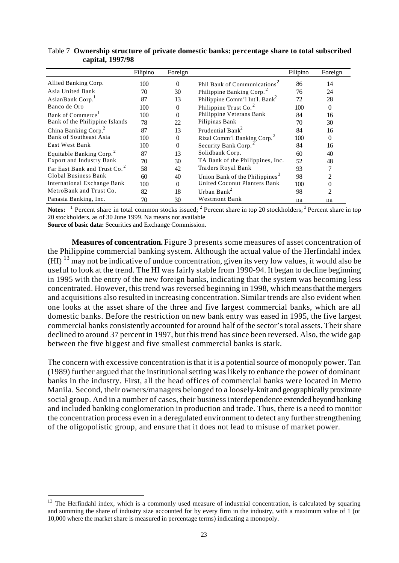|                                      | Filipino | Foreign |                                            | Filipino | Foreign |
|--------------------------------------|----------|---------|--------------------------------------------|----------|---------|
| Allied Banking Corp.                 | 100      | 0       | Phil Bank of Communications <sup>2</sup>   | 86       | 14      |
| Asia United Bank                     | 70       | 30      | Philippine Banking Corp. <sup>2</sup>      | 76       | 24      |
| AsianBank Corp.                      | 87       | 13      | Philippine Comm'l Int'l. Bank <sup>2</sup> | 72       | 28      |
| Banco de Oro                         | 100      | 0       | Philippine Trust Co. <sup>2</sup>          | 100      | 0       |
| Bank of Commerce <sup>1</sup>        | 100      | 0       | Philippine Veterans Bank                   | 84       | 16      |
| Bank of the Philippine Islands       | 78       | 22      | Pilipinas Bank                             | 70       | 30      |
| China Banking Corp. <sup>2</sup>     | 87       | 13      | Prudential Bank <sup>2</sup>               | 84       | 16      |
| Bank of Southeast Asia               | 100      | 0       | Rizal Comm'l Banking Corp. <sup>2</sup>    | 100      | 0       |
| East West Bank                       | 100      | 0       | Security Bank Corp.                        | 84       | 16      |
| Equitable Banking Corp. <sup>2</sup> | 87       | 13      | Solidbank Corp.                            | 60       | 40      |
| <b>Export and Industry Bank</b>      | 70       | 30      | TA Bank of the Philippines, Inc.           | 52       | 48      |
| Far East Bank and Trust Co.          | 58       | 42      | Traders Royal Bank                         | 93       |         |
| Global Business Bank                 | 60       | 40      | Union Bank of the Philippines <sup>3</sup> | 98       |         |
| <b>International Exchange Bank</b>   | 100      | 0       | United Coconut Planters Bank               | 100      |         |
| MetroBank and Trust Co.              | 82       | 18      | Urban Bank <sup>2</sup>                    | 98       | 2       |
| Panasia Banking, Inc.                | 70       | 30      | <b>Westmont Bank</b>                       | na       | na      |

Table 7 **Ownership structure of private domestic banks: percentage share to total subscribed capital, 1997/98**

Notes: <sup>1</sup> Percent share in total common stocks issued; <sup>2</sup> Percent share in top 20 stockholders; <sup>3</sup> Percent share in top 20 stockholders, as of 30 June 1999. Na means not available

**Source of basic data:** Securities and Exchange Commission.

l

**Measures of concentration.** Figure 3 presents some measures of asset concentration of the Philippine commercial banking system. Although the actual value of the Herfindahl index  $(HI)^{13}$  may not be indicative of undue concentration, given its very low values, it would also be useful to look at the trend. The HI was fairly stable from 1990-94. It began to decline beginning in 1995 with the entry of the new foreign banks, indicating that the system was becoming less concentrated. However, this trend was reversed beginning in 1998, which means that the mergers and acquisitions also resulted in increasing concentration. Similar trends are also evident when one looks at the asset share of the three and five largest commercial banks, which are all domestic banks. Before the restriction on new bank entry was eased in 1995, the five largest commercial banks consistently accounted for around half of the sector's total assets. Their share declined to around 37 percent in 1997, but this trend has since been reversed. Also, the wide gap between the five biggest and five smallest commercial banks is stark.

The concern with excessive concentration is that it is a potential source of monopoly power. Tan (1989) further argued that the institutional setting was likely to enhance the power of dominant banks in the industry. First, all the head offices of commercial banks were located in Metro Manila. Second, their owners/managers belonged to a loosely-knit and geographically proximate social group. And in a number of cases, their business interdependence extended beyond banking and included banking conglomeration in production and trade. Thus, there is a need to monitor the concentration process even in a deregulated environment to detect any further strengthening of the oligopolistic group, and ensure that it does not lead to misuse of market power.

<sup>&</sup>lt;sup>13</sup> The Herfindahl index, which is a commonly used measure of industrial concentration, is calculated by squaring and summing the share of industry size accounted for by every firm in the industry, with a maximum value of 1 (or 10,000 where the market share is measured in percentage terms) indicating a monopoly.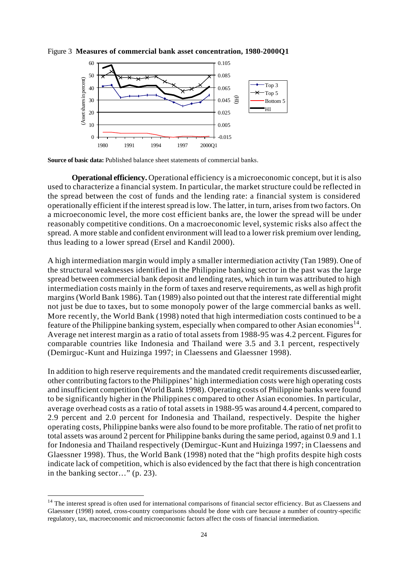

Figure 3 **Measures of commercial bank asset concentration, 1980-2000Q1**

**Source of basic data:** Published balance sheet statements of commercial banks.

**Operational efficiency.** Operational efficiency is a microeconomic concept, but it is also used to characterize a financial system. In particular, the market structure could be reflected in the spread between the cost of funds and the lending rate: a financial system is considered operationally efficient if the interest spread is low. The latter, in turn, arises from two factors. On a microeconomic level, the more cost efficient banks are, the lower the spread will be under reasonably competitive conditions. On a macroeconomic level, systemic risks also affect the spread. A more stable and confident environment will lead to a lower risk premium over lending, thus leading to a lower spread (Ersel and Kandil 2000).

A high intermediation margin would imply a smaller intermediation activity (Tan 1989). One of the structural weaknesses identified in the Philippine banking sector in the past was the large spread between commercial bank deposit and lending rates, which in turn was attributed to high intermediation costs mainly in the form of taxes and reserve requirements, as well as high profit margins (World Bank 1986). Tan (1989) also pointed out that the interest rate differential might not just be due to taxes, but to some monopoly power of the large commercial banks as well. More recently, the World Bank (1998) noted that high intermediation costs continued to be a feature of the Philippine banking system, especially when compared to other Asian economies<sup>14</sup>. Average net interest margin as a ratio of total assets from 1988-95 was 4.2 percent. Figures for comparable countries like Indonesia and Thailand were 3.5 and 3.1 percent, respectively (Demirguc-Kunt and Huizinga 1997; in Claessens and Glaessner 1998).

In addition to high reserve requirements and the mandated credit requirements discussed earlier, other contributing factors to the Philippines' high intermediation costs were high operating costs and insufficient competition (World Bank 1998). Operating costs of Philippine banks were found to be significantly higher in the Philippines c ompared to other Asian economies. In particular, average overhead costs as a ratio of total assets in 1988-95 was around 4.4 percent, compared to 2.9 percent and 2.0 percent for Indonesia and Thailand, respectively. Despite the higher operating costs, Philippine banks were also found to be more profitable. The ratio of net profit to total assets was around 2 percent for Philippine banks during the same period, against 0.9 and 1.1 for Indonesia and Thailand respectively (Demirguc-Kunt and Huizinga 1997; in Claessens and Glaessner 1998). Thus, the World Bank (1998) noted that the "high profits despite high costs indicate lack of competition, which is also evidenced by the fact that there is high concentration in the banking sector…" (p. 23).

l

 $14$  The interest spread is often used for international comparisons of financial sector efficiency. But as Claessens and Glaessner (1998) noted, cross-country comparisons should be done with care because a number of country-specific regulatory, tax, macroeconomic and microeconomic factors affect the costs of financial intermediation.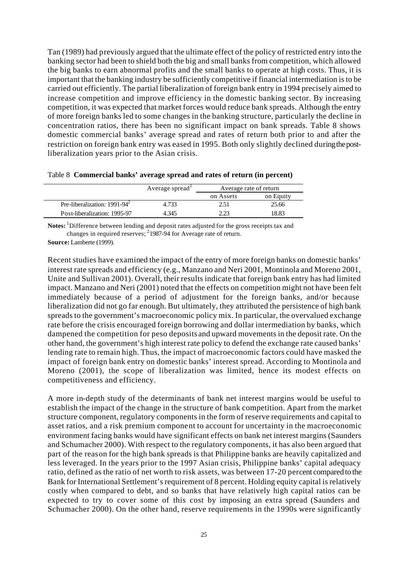Tan (1989) had previously argued that the ultimate effect of the policy of restricted entry into the banking sector had been to shield both the big and small banks from competition, which allowed the big banks to earn abnormal profits and the small banks to operate at high costs. Thus, it is important that the banking industry be sufficiently competitive if financial intermediation is to be carried out efficiently. The partial liberalization of foreign bank entry in 1994 precisely aimed to increase competition and improve efficiency in the domestic banking sector. By increasing competition, it was expected that market forces would reduce bank spreads. Although the entry of more foreign banks led to some changes in the banking structure, particularly the decline in concentration ratios, there has been no significant impact on bank spreads. Table 8 shows domestic commercial banks' average spread and rates of return both prior to and after the restriction on foreign bank entry was eased in 1995. Both only slightly declined during the postliberalization years prior to the Asian crisis.

|                                 | Average spread | Average rate of return |           |  |
|---------------------------------|----------------|------------------------|-----------|--|
|                                 |                | on Assets              | on Equity |  |
| Pre-liberalization: $1991-94^2$ |                |                        | 25.66     |  |

Post-liberalization: 1995-97 4.345 2.23 18.83

| Table 8 Commercial banks' average spread and rates of return (in percent) |  |  |  |  |  |
|---------------------------------------------------------------------------|--|--|--|--|--|
|---------------------------------------------------------------------------|--|--|--|--|--|

Notes: <sup>1</sup>Difference between lending and deposit rates adjusted for the gross receipts tax and changes in required reserves;  $^{2}$ 1987-94 for Average rate of return.

**Source:** Lamberte (1999).

Recent studies have examined the impact of the entry of more foreign banks on domestic banks' interest rate spreads and efficiency (e.g., Manzano and Neri 2001, Montinola and Moreno 2001, Unite and Sullivan 2001). Overall, their results indicate that foreign bank entry has had limited impact. Manzano and Neri (2001) noted that the effects on competition might not have been felt immediately because of a period of adjustment for the foreign banks, and/or because liberalization did not go far enough. But ultimately, they attributed the persistence of high bank spreads to the government's macroeconomic policy mix. In particular, the overvalued exchange rate before the crisis encouraged foreign borrowing and dollar intermediation by banks, which dampened the competition for peso deposits and upward movements in the deposit rate. On the other hand, the government's high interest rate policy to defend the exchange rate caused banks' lending rate to remain high. Thus, the impact of macroeconomic factors could have masked the impact of foreign bank entry on domestic banks' interest spread. According to Montinola and Moreno (2001), the scope of liberalization was limited, hence its modest effects on competitiveness and efficiency.

A more in-depth study of the determinants of bank net interest margins would be useful to establish the impact of the change in the structure of bank competition. Apart from the market structure component, regulatory components in the form of reserve requirements and capital to asset ratios, and a risk premium component to account for uncertainty in the macroeconomic environment facing banks would have significant effects on bank net interest margins (Saunders and Schumacher 2000). With respect to the regulatory components, it has also been argued that part of the reason for the high bank spreads is that Philippine banks are heavily capitalized and less leveraged. In the years prior to the 1997 Asian crisis, Philippine banks' capital adequacy ratio, defined as the ratio of net worth to risk assets, was between 17-20 percent compared to the Bank for International Settlement's requirement of 8 percent. Holding equity capital is relatively costly when compared to debt, and so banks that have relatively high capital ratios can be expected to try to cover some of this cost by imposing an extra spread (Saunders and Schumacher 2000). On the other hand, reserve requirements in the 1990s were significantly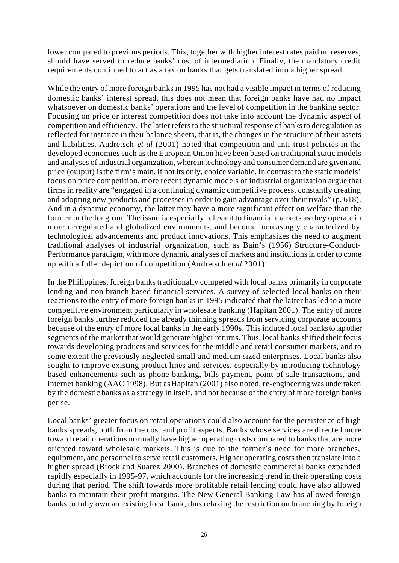lower compared to previous periods. This, together with higher interest rates paid on reserves, should have served to reduce banks' cost of intermediation. Finally, the mandatory credit requirements continued to act as a tax on banks that gets translated into a higher spread.

While the entry of more foreign banks in 1995 has not had a visible impact in terms of reducing domestic banks' interest spread, this does not mean that foreign banks have had no impact whatsoever on domestic banks' operations and the level of competition in the banking sector. Focusing on price or interest competition does not take into account the dynamic aspect of competition and efficiency. The latter refers to the structural response of banks to deregulation as reflected for instance in their balance sheets, that is, the changes in the structure of their assets and liabilities. Audretsch *et al* (2001) noted that competition and anti-trust policies in the developed economies such as the European Union have been based on traditional static models and analyses of industrial organization, wherein technology and consumer demand are given and price (output) is the firm's main, if not its only, choice variable. In contrast to the static models' focus on price competition, more recent dynamic models of industrial organization argue that firms in reality are "engaged in a continuing dynamic competitive process, constantly creating and adopting new products and processes in order to gain advantage over their rivals" (p. 618). And in a dynamic economy, the latter may have a more significant effect on welfare than the former in the long run. The issue is especially relevant to financial markets as they operate in more deregulated and globalized environments, and become increasingly characterized by technological advancements and product innovations. This emphasizes the need to augment traditional analyses of industrial organization, such as Bain's (1956) Structure-Conduct-Performance paradigm, with more dynamic analyses of markets and institutions in order to come up with a fuller depiction of competition (Audretsch *et al* 2001).

In the Philippines, foreign banks traditionally competed with local banks primarily in corporate lending and non-branch based financial services. A survey of selected local banks on their reactions to the entry of more foreign banks in 1995 indicated that the latter has led to a more competitive environment particularly in wholesale banking (Hapitan 2001). The entry of more foreign banks further reduced the already thinning spreads from servicing corporate accounts because of the entry of more local banks in the early 1990s. This induced local banks to tap other segments of the market that would generate higher returns. Thus, local banks shifted their focus towards developing products and services for the middle and retail consumer markets, and to some extent the previously neglected small and medium sized enterprises. Local banks also sought to improve existing product lines and services, especially by introducing technology based enhancements such as phone banking, bills payment, point of sale transactions, and internet banking (AAC 1998). But as Hapitan (2001) also noted, re-engineering was undertaken by the domestic banks as a strategy in itself, and not because of the entry of more foreign banks per se.

Local banks' greater focus on retail operations could also account for the persistence of high banks spreads, both from the cost and profit aspects. Banks whose services are directed more toward retail operations normally have higher operating costs compared to banks that are more oriented toward wholesale markets. This is due to the former's need for more branches, equipment, and personnel to serve retail customers. Higher operating costs then translate into a higher spread (Brock and Suarez 2000). Branches of domestic commercial banks expanded rapidly especially in 1995-97, which accounts for t he increasing trend in their operating costs during that period. The shift towards more profitable retail lending could have also allowed banks to maintain their profit margins. The New General Banking Law has allowed foreign banks to fully own an existing local bank, thus relaxing the restriction on branching by foreign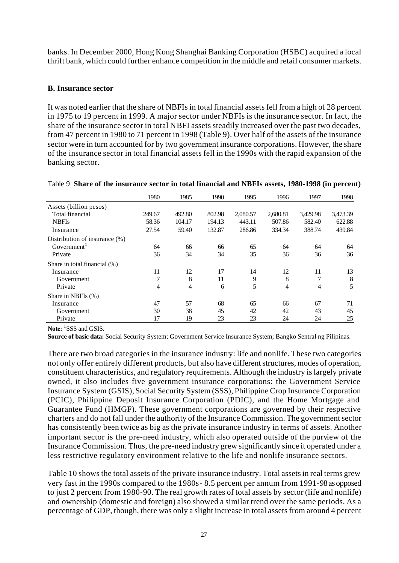banks. In December 2000, Hong Kong Shanghai Banking Corporation (HSBC) acquired a local thrift bank, which could further enhance competition in the middle and retail consumer markets.

## **B. Insurance sector**

It was noted earlier that the share of NBFIs in total financial assets fell from a high of 28 percent in 1975 to 19 percent in 1999. A major sector under NBFIs is the insurance sector. In fact, the share of the insurance sector in total NBFI assets steadily increased over the past two decades, from 47 percent in 1980 to 71 percent in 1998 (Table 9). Over half of the assets of the insurance sector were in turn accounted for by two government insurance corporations. However, the share of the insurance sector in total financial assets fell in the 1990s with the rapid expansion of the banking sector.

|                               | 1980          | 1985   | 1990   | 1995     | 1996     | 1997     | 1998     |
|-------------------------------|---------------|--------|--------|----------|----------|----------|----------|
| Assets (billion pesos)        |               |        |        |          |          |          |          |
| Total financial               | 249.67        | 492.80 | 802.98 | 2,080.57 | 2,680.81 | 3,429.98 | 3,473.39 |
| <b>NBFIs</b>                  | 58.36         | 104.17 | 194.13 | 443.11   | 507.86   | 582.40   | 622.88   |
| Insurance                     | 27.54         | 59.40  | 132.87 | 286.86   | 334.34   | 388.74   | 439.84   |
| Distribution of insurance (%) |               |        |        |          |          |          |          |
| Government <sup>1</sup>       | 64            | 66     | 66     | 65       | 64       | 64       | 64       |
| Private                       | 36            | 34     | 34     | 35       | 36       | 36       | 36       |
| Share in total financial (%)  |               |        |        |          |          |          |          |
| Insurance                     | 11            | 12     | 17     | 14       | 12       | 11       | 13       |
| Government                    | $\mathcal{I}$ | 8      | 11     | 9        | 8        | 7        | 8        |
| Private                       | 4             | 4      | 6      | 5        | 4        | 4        | 5        |
| Share in NBFIs $(\%)$         |               |        |        |          |          |          |          |
| Insurance                     | 47            | 57     | 68     | 65       | 66       | 67       | 71       |
| Government                    | 30            | 38     | 45     | 42       | 42       | 43       | 45       |
| Private                       | 17            | 19     | 23     | 23       | 24       | 24       | 25       |

#### Table 9 **Share of the insurance sector in total financial and NBFIs assets, 1980-1998 (in percent)**

**Note:** <sup>1</sup> SSS and GSIS.

**Source of basic data:** Social Security System; Government Service Insurance System; Bangko Sentral ng Pilipinas.

There are two broad categories in the insurance industry: life and nonlife. These two categories not only offer entirely different products, but also have different structures, modes of operation, constituent characteristics, and regulatory requirements. Although the industry is largely private owned, it also includes five government insurance corporations: the Government Service Insurance System (GSIS), Social Security System (SSS), Philippine Crop Insurance Corporation (PCIC), Philippine Deposit Insurance Corporation (PDIC), and the Home Mortgage and Guarantee Fund (HMGF). These government corporations are governed by their respective charters and do not fall under the authority of the Insurance Commission. The government sector has consistently been twice as big as the private insurance industry in terms of assets. Another important sector is the pre-need industry, which also operated outside of the purview of the Insurance Commission. Thus, the pre-need industry grew significantly since it operated under a less restrictive regulatory environment relative to the life and nonlife insurance sectors.

Table 10 shows the total assets of the private insurance industry. Total assets in real terms grew very fast in the 1990s compared to the 1980s - 8.5 percent per annum from 1991-98 as opposed to just 2 percent from 1980-90. The real growth rates of total assets by sector (life and nonlife) and ownership (domestic and foreign) also showed a similar trend over the same periods. As a percentage of GDP, though, there was only a slight increase in total assets from around 4 percent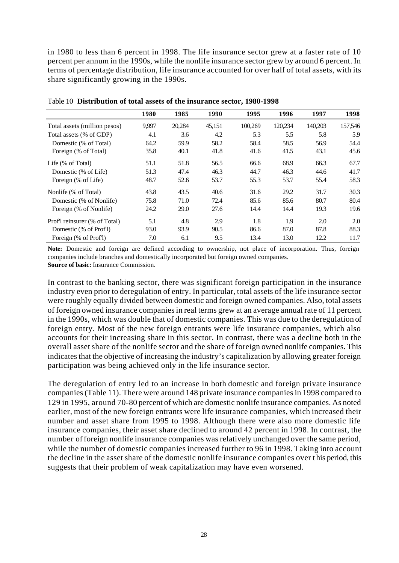in 1980 to less than 6 percent in 1998. The life insurance sector grew at a faster rate of 10 percent per annum in the 1990s, while the nonlife insurance sector grew by around 6 percent. In terms of percentage distribution, life insurance accounted for over half of total assets, with its share significantly growing in the 1990s.

|                               | 1980  | 1985   | 1990   | 1995    | 1996    | 1997    | 1998    |
|-------------------------------|-------|--------|--------|---------|---------|---------|---------|
| Total assets (million pesos)  | 9,997 | 20,284 | 45,151 | 100,269 | 120,234 | 140,203 | 157,546 |
| Total assets (% of GDP)       | 4.1   | 3.6    | 4.2    | 5.3     | 5.5     | 5.8     | 5.9     |
| Domestic (% of Total)         | 64.2  | 59.9   | 58.2   | 58.4    | 58.5    | 56.9    | 54.4    |
| Foreign (% of Total)          | 35.8  | 40.1   | 41.8   | 41.6    | 41.5    | 43.1    | 45.6    |
| Life (% of Total)             | 51.1  | 51.8   | 56.5   | 66.6    | 68.9    | 66.3    | 67.7    |
| Domestic (% of Life)          | 51.3  | 47.4   | 46.3   | 44.7    | 46.3    | 44.6    | 41.7    |
| Foreign (% of Life)           | 48.7  | 52.6   | 53.7   | 55.3    | 53.7    | 55.4    | 58.3    |
| Nonlife (% of Total)          | 43.8  | 43.5   | 40.6   | 31.6    | 29.2    | 31.7    | 30.3    |
| Domestic (% of Nonlife)       | 75.8  | 71.0   | 72.4   | 85.6    | 85.6    | 80.7    | 80.4    |
| Foreign (% of Nonlife)        | 24.2  | 29.0   | 27.6   | 14.4    | 14.4    | 19.3    | 19.6    |
| Prof'l reinsurer (% of Total) | 5.1   | 4.8    | 2.9    | 1.8     | 1.9     | 2.0     | 2.0     |
| Domestic (% of Prof'l)        | 93.0  | 93.9   | 90.5   | 86.6    | 87.0    | 87.8    | 88.3    |
| Foreign (% of Prof1)          | 7.0   | 6.1    | 9.5    | 13.4    | 13.0    | 12.2    | 11.7    |

Table 10 **Distribution of total assets of the insurance sector, 1980-1998** 

**Note:** Domestic and foreign are defined according to ownership, not place of incorporation. Thus, foreign companies include branches and domestically incorporated but foreign owned companies. **Source of basic:** Insurance Commission.

In contrast to the banking sector, there was significant foreign participation in the insurance industry even prior to deregulation of entry. In particular, total assets of the life insurance sector were roughly equally divided between domestic and foreign owned companies. Also, total assets of foreign owned insurance companies in real terms grew at an average annual rate of 11 percent in the 1990s, which was double that of domestic companies. This was due to the deregulation of foreign entry. Most of the new foreign entrants were life insurance companies, which also accounts for their increasing share in this sector. In contrast, there was a decline both in the overall asset share of the nonlife sector and the share of foreign owned nonlife companies. This indicates that the objective of increasing the industry's capitalization by allowing greater foreign participation was being achieved only in the life insurance sector.

The deregulation of entry led to an increase in both domestic and foreign private insurance companies (Table 11). There were around 148 private insurance companies in 1998 compared to 129 in 1995, around 70-80 percent of which are domestic nonlife insurance companies. As noted earlier, most of the new foreign entrants were life insurance companies, which increased their number and asset share from 1995 to 1998. Although there were also more domestic life insurance companies, their asset share declined to around 42 percent in 1998. In contrast, the number of foreign nonlife insurance companies was relatively unchanged over the same period, while the number of domestic companies increased further to 96 in 1998. Taking into account the decline in the asset share of the domestic nonlife insurance companies over t his period, this suggests that their problem of weak capitalization may have even worsened.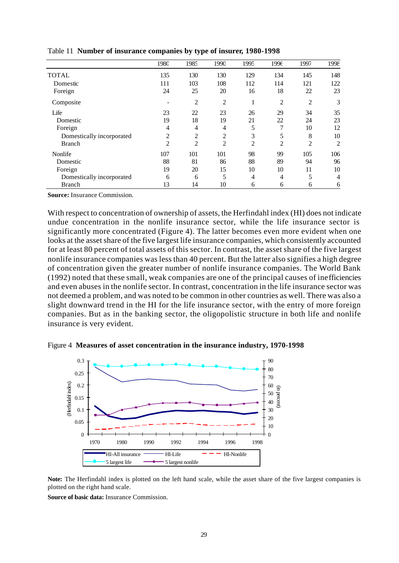|                           | 1980           | 1985           | 1990           | 1995           | 1996           | 1997           | 1998           |
|---------------------------|----------------|----------------|----------------|----------------|----------------|----------------|----------------|
| <b>TOTAL</b>              | 135            | 130            | 130            | 129            | 134            | 145            | 148            |
| Domestic                  | 111            | 103            | 108            | 112            | 114            | 121            | 122            |
| Foreign                   | 24             | 25             | 20             | 16             | 18             | 22             | 23             |
| Composite                 |                | $\overline{2}$ | $\overline{2}$ | 1              | $\overline{2}$ | $\overline{2}$ | 3              |
| Life                      | 23             | 22             | 23             | 26             | 29             | 34             | 35             |
| Domestic                  | 19             | 18             | 19             | 21             | 22             | 24             | 23             |
| Foreign                   | $\overline{4}$ | $\overline{4}$ | 4              | 5              | 7              | 10             | 12             |
| Domestically incorporated | $\overline{c}$ | $\overline{2}$ | $\overline{2}$ | 3              | 5              | 8              | 10             |
| <b>Branch</b>             | $\overline{2}$ | $\overline{2}$ | $\overline{2}$ | $\overline{2}$ | $\overline{2}$ | $\overline{c}$ | $\overline{2}$ |
| Nonlife                   | 107            | 101            | 101            | 98             | 99             | 105            | 106            |
| Domestic                  | 88             | 81             | 86             | 88             | 89             | 94             | 96             |
| Foreign                   | 19             | 20             | 15             | 10             | 10             | 11             | 10             |
| Domestically incorporated | 6              | 6              | 5              | 4              | $\overline{4}$ | 5              | $\overline{4}$ |
| <b>Branch</b>             | 13             | 14             | 10             | 6              | 6              | 6              | 6              |

Table 11 **Number of insurance companies by type of insurer, 1980-1998**

**Source:** Insurance Commission.

With respect to concentration of ownership of assets, the Herfindahl index (HI) does not indicate undue concentration in the nonlife insurance sector, while the life insurance sector is significantly more concentrated (Figure 4). The latter becomes even more evident when one looks at the asset share of the five largest life insurance companies, which consistently accounted for at least 80 percent of total assets of this sector. In contrast, the asset share of the five largest nonlife insurance companies was less than 40 percent. But the latter also signifies a high degree of concentration given the greater number of nonlife insurance companies. The World Bank (1992) noted that these small, weak companies are one of the principal causes of inefficiencies and even abuses in the nonlife sector. In contrast, concentration in the life insurance sector was not deemed a problem, and was noted to be common in other countries as well. There was also a slight downward trend in the HI for the life insurance sector, with the entry of more foreign companies. But as in the banking sector, the oligopolistic structure in both life and nonlife insurance is very evident.

Figure 4 **Measures of asset concentration in the insurance industry, 1970-1998**



**Note:** The Herfindahl index is plotted on the left hand scale, while the asset share of the five largest companies is plotted on the right hand scale.

**Source of basic data:** Insurance Commission.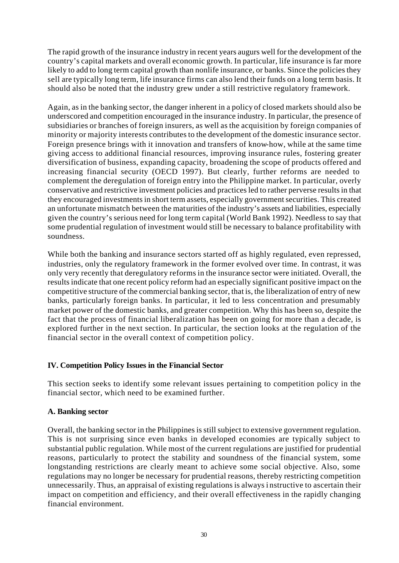The rapid growth of the insurance industry in recent years augurs well for the development of the country's capital markets and overall economic growth. In particular, life insurance is far more likely to add to long term capital growth than nonlife insurance, or banks. Since the policies they sell are typically long term, life insurance firms can also lend their funds on a long term basis. It should also be noted that the industry grew under a still restrictive regulatory framework.

Again, as in the banking sector, the danger inherent in a policy of closed markets should also be underscored and competition encouraged in the insurance industry. In particular, the presence of subsidiaries or branches of foreign insurers, as well as the acquisition by foreign companies of minority or majority interests contributes to the development of the domestic insurance sector. Foreign presence brings with it innovation and transfers of know-how, while at the same time giving access to additional financial resources, improving insurance rules, fostering greater diversification of business, expanding capacity, broadening the scope of products offered and increasing financial security (OECD 1997). But clearly, further reforms are needed to complement the deregulation of foreign entry into the Philippine market. In particular, overly conservative and restrictive investment policies and practices led to rather perverse results in that they encouraged investments in short term assets, especially government securities. This created an unfortunate mismatch between the maturities of the industry's assets and liabilities, especially given the country's serious need for long term capital (World Bank 1992). Needless to say that some prudential regulation of investment would still be necessary to balance profitability with soundness.

While both the banking and insurance sectors started off as highly regulated, even repressed, industries, only the regulatory framework in the former evolved over time. In contrast, it was only very recently that deregulatory reforms in the insurance sector were initiated. Overall, the results indicate that one recent policy reform had an especially significant positive impact on the competitive structure of the commercial banking sector, that is, the liberalization of entry of new banks, particularly foreign banks. In particular, it led to less concentration and presumably market power of the domestic banks, and greater competition. Why this has been so, despite the fact that the process of financial liberalization has been on going for more than a decade, is explored further in the next section. In particular, the section looks at the regulation of the financial sector in the overall context of competition policy.

# **IV. Competition Policy Issues in the Financial Sector**

This section seeks to identify some relevant issues pertaining to competition policy in the financial sector, which need to be examined further.

# **A. Banking sector**

Overall, the banking sector in the Philippines is still subject to extensive government regulation. This is not surprising since even banks in developed economies are typically subject to substantial public regulation. While most of the current regulations are justified for prudential reasons, particularly to protect the stability and soundness of the financial system, some longstanding restrictions are clearly meant to achieve some social objective. Also, some regulations may no longer be necessary for prudential reasons, thereby restricting competition unnecessarily. Thus, an appraisal of existing regulations is always i nstructive to ascertain their impact on competition and efficiency, and their overall effectiveness in the rapidly changing financial environment.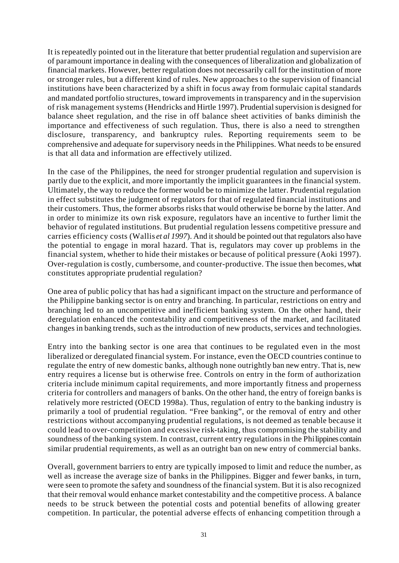It is repeatedly pointed out in the literature that better prudential regulation and supervision are of paramount importance in dealing with the consequences of liberalization and globalization of financial markets. However, better regulation does not necessarily call for the institution of more or stronger rules, but a different kind of rules. New approaches to the supervision of financial institutions have been characterized by a shift in focus away from formulaic capital standards and mandated portfolio structures, toward improvements in transparency and in the supervision of risk management systems (Hendricks and Hirtle 1997). Prudential supervision is designed for balance sheet regulation, and the rise in off balance sheet activities of banks diminish the importance and effectiveness of such regulation. Thus, there is also a need to strengthen disclosure, transparency, and bankruptcy rules. Reporting requirements seem to be comprehensive and adequate for supervisory needs in the Philippines. What needs to be ensured is that all data and information are effectively utilized.

In the case of the Philippines, the need for stronger prudential regulation and supervision is partly due to the explicit, and more importantly the implicit guarantees in the financial system. Ultimately, the way to reduce the former would be to minimize the latter. Prudential regulation in effect substitutes the judgment of regulators for that of regulated financial institutions and their customers. Thus, the former absorbs risks that would otherwise be borne by the latter. And in order to minimize its own risk exposure, regulators have an incentive to further limit the behavior of regulated institutions. But prudential regulation lessens competitive pressure and carries efficiency costs (Wallis *et al 1997*). And it should be pointed out that regulators also have the potential to engage in moral hazard. That is, regulators may cover up problems in the financial system, whether to hide their mistakes or because of political pressure (Aoki 1997). Over-regulation is costly, cumbersome, and counter-productive. The issue then becomes, what constitutes appropriate prudential regulation?

One area of public policy that has had a significant impact on the structure and performance of the Philippine banking sector is on entry and branching. In particular, restrictions on entry and branching led to an uncompetitive and inefficient banking system. On the other hand, their deregulation enhanced the contestability and competitiveness of the market, and facilitated changes in banking trends, such as the introduction of new products, services and technologies.

Entry into the banking sector is one area that continues to be regulated even in the most liberalized or deregulated financial system. For instance, even the OECD countries continue to regulate the entry of new domestic banks, although none outrightly ban new entry. That is, new entry requires a license but is otherwise free. Controls on entry in the form of authorization criteria include minimum capital requirements, and more importantly fitness and properness criteria for controllers and managers of banks. On the other hand, the entry of foreign banks is relatively more restricted (OECD 1998a). Thus, regulation of entry to the banking industry is primarily a tool of prudential regulation. "Free banking", or the removal of entry and other restrictions without accompanying prudential regulations, is not deemed as tenable because it could lead to over-competition and excessive risk-taking, thus compromising the stability and soundness of the banking system. In contrast, current entry regulations in the Philippines contain similar prudential requirements, as well as an outright ban on new entry of commercial banks.

Overall, government barriers to entry are typically imposed to limit and reduce the number, as well as increase the average size of banks in the Philippines. Bigger and fewer banks, in turn, were seen to promote the safety and soundness of the financial system. But it is also recognized that their removal would enhance market contestability and the competitive process. A balance needs to be struck between the potential costs and potential benefits of allowing greater competition. In particular, the potential adverse effects of enhancing competition through a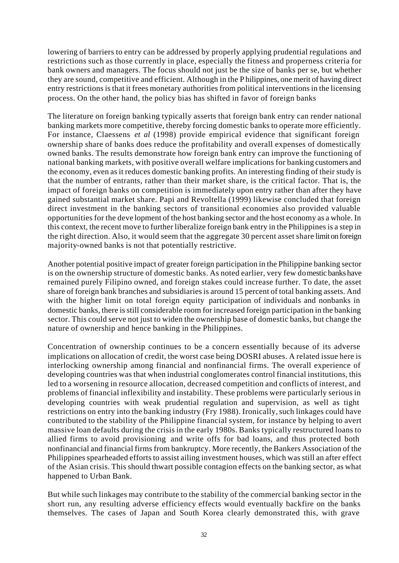lowering of barriers to entry can be addressed by properly applying prudential regulations and restrictions such as those currently in place, especially the fitness and properness criteria for bank owners and managers. The focus should not just be the size of banks per se, but whether they are sound, competitive and efficient. Although in the P hilippines, one merit of having direct entry restrictions is that it frees monetary authorities from political interventions in the licensing process. On the other hand, the policy bias has shifted in favor of foreign banks

The literature on foreign banking typically asserts that foreign bank entry can render national banking markets more competitive, thereby forcing domestic banks to operate more efficiently. For instance, Claessens *et al* (1998) provide empirical evidence that significant foreign ownership share of banks does reduce the profitability and overall expenses of domestically owned banks. The results demonstrate how foreign bank entry can improve the functioning of national banking markets, with positive overall welfare implications for banking customers and the economy, even as it reduces domestic banking profits. An interesting finding of their study is that the number of entrants, rather than their market share, is the critical factor. That is, the impact of foreign banks on competition is immediately upon entry rather than after they have gained substantial market share. Papi and Revoltella (1999) likewise concluded that foreign direct investment in the banking sectors of transitional economies also provided valuable opportunities for the deve lopment of the host banking sector and the host economy as a whole. In this context, the recent move to further liberalize foreign bank entry in the Philippines is a step in the right direction. Also, it would seem that the aggregate 30 percent asset share limit on foreign majority-owned banks is not that potentially restrictive.

Another potential positive impact of greater foreign participation in the Philippine banking sector is on the ownership structure of domestic banks. As noted earlier, very few domestic banks have remained purely Filipino owned, and foreign stakes could increase further. To date, the asset share of foreign bank branches and subsidiaries is around 15 percent of total banking assets. And with the higher limit on total foreign equity participation of individuals and nonbanks in domestic banks, there is still considerable room for increased foreign participation in the banking sector. This could serve not just to widen the ownership base of domestic banks, but change the nature of ownership and hence banking in the Philippines.

Concentration of ownership continues to be a concern essentially because of its adverse implications on allocation of credit, the worst case being DOSRI abuses. A related issue here is interlocking ownership among financial and nonfinancial firms. The overall experience of developing countries was that when industrial conglomerates control financial institutions, this led to a worsening in resource allocation, decreased competition and conflicts of interest, and problems of financial inflexibility and instability. These problems were particularly serious in developing countries with weak prudential regulation and supervision, as well as tight restrictions on entry into the banking industry (Fry 1988). Ironically, such linkages could have contributed to the stability of the Philippine financial system, for instance by helping to avert massive loan defaults during the crisis in the early 1980s. Banks typically restructured loans to allied firms to avoid provisioning and write offs for bad loans, and thus protected both nonfinancial and financial firms from bankruptcy. More recently, the Bankers Association of the Philippines spearheaded efforts to assist ailing investment houses, which was still an after effect of the Asian crisis. This should thwart possible contagion effects on the banking sector, as what happened to Urban Bank.

But while such linkages may contribute to the stability of the commercial banking sector in the short run, any resulting adverse efficiency effects would eventually backfire on the banks themselves. The cases of Japan and South Korea clearly demonstrated this, with grave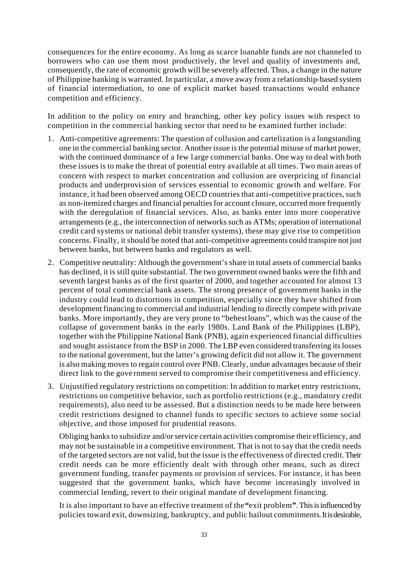consequences for the entire economy. As long as scarce loanable funds are not channeled to borrowers who can use them most productively, the level and quality of investments and, consequently, the rate of economic growth will be severely affected. Thus, a change in the nature of Philippine banking is warranted. In particular, a move away from a relationship-based system of financial intermediation, to one of explicit market based transactions would enhance competition and efficiency.

In addition to the policy on entry and branching, other key policy issues with respect to competition in the commercial banking sector that need to be examined further include:

- 1. Anti-competitive agreements: The question of collusion and cartelization is a longstanding one in the commercial banking sector. Another issue is the potential misuse of market power, with the continued dominance of a few l arge commercial banks. One way to deal with both these issues is to make the threat of potential entry available at all times. Two main areas of concern with respect to market concentration and collusion are overpricing of financial products and underprovision of services essential to economic growth and welfare. For instance, it had been observed among OECD countries that anti-competitive practices, such as non-itemized charges and financial penalties for account closure, occurred more frequently with the deregulation of financial services. Also, as banks enter into more cooperative arrangements (e.g., the interconnection of networks such as ATMs; operation of international credit card systems or national debit transfer systems), these may give rise to competition concerns. Finally, it should be noted that anti-competitive agreements could transpire not just between banks, but between banks and regulators as well.
- 2. Competitive neutrality: Although the government's share in total assets of commercial banks has declined, it is still quite substantial. The two government owned banks were the fifth and seventh largest banks as of the first quarter of 2000, and together accounted for almost 13 percent of total commercial bank assets. The strong presence of government banks in the industry could lead to distortions in competition, especially since they have shifted from development financing to commercial and industrial lending to directly compete with private banks. More importantly, they are very prone to "behest loans", which was the cause of the collapse of government banks in the early 1980s. Land Bank of the Philippines (LBP), together with the Philippine National Bank (PNB), again experienced financial difficulties and sought assistance from the BSP in 2000. The LBP even considered transferring its losses to the national government, but the latter's growing deficit did not allow it. The government is also making moves to regain control over PNB. Clearly, undue advantages because of their direct link to the gove rnment served to compromise their competitiveness and efficiency.
- 3. Unjustified regulatory restrictions on competition: In addition to market entry restrictions, restrictions on competitive behavior, such as portfolio restrictions (e.g., mandatory credit requirements), also need to be assessed. But a distinction needs to be made here between credit restrictions designed to channel funds to specific sectors to achieve some social objective, and those imposed for prudential reasons.

Obliging banks to subsidize and/or service certain activities compromise their efficiency, and may not be sustainable in a competitive environment. That is not to say that the credit needs of the targeted sectors are not valid, but the issue is the effectiveness of directed credit. Their credit needs can be more efficiently dealt with through other means, such as direct government funding, transfer payments or provision of services. For instance, it has been suggested that the government banks, which have become increasingly involved in commercial lending, revert to their original mandate of development financing.

It is also important to have an effective treatment of the **"**exit problem**"**. This is influenced by policies toward exit, downsizing, bankruptcy, and public bailout commitments. It is desirable,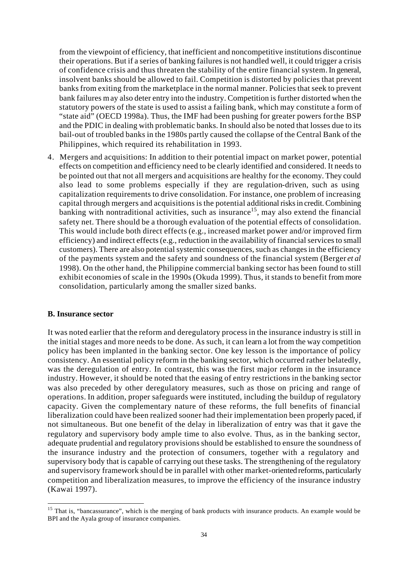from the viewpoint of efficiency, that inefficient and noncompetitive institutions discontinue their operations. But if a series of banking failures is not handled well, it could trigger a crisis of confidence crisis and thus threaten the stability of the entire financial system. In general, insolvent banks should be allowed to fail. Competition is distorted by policies that prevent banks from exiting from the marketplace in the normal manner. Policies that seek to prevent bank failures may also deter entry into the industry. Competition is further distorted when the statutory powers of the state is used to assist a failing bank, which may constitute a form of "state aid" (OECD 1998a). Thus, the IMF had been pushing for greater powers for the BSP and the PDIC in dealing with problematic banks. In should also be noted that losses due to its bail-out of troubled banks in the 1980s partly caused the collapse of the Central Bank of the Philippines, which required its rehabilitation in 1993.

4. Mergers and acquisitions: In addition to their potential impact on market power, potential effects on competition and efficiency need to be clearly identified and considered. It needs to be pointed out that not all mergers and acquisitions are healthy for the economy. They could also lead to some problems especially if they are regulation-driven, such as using capitalization requirements to drive consolidation. For instance, one problem of increasing capital through mergers and acquisitions is the potential additional risks in credit. Combining banking with nontraditional activities, such as insurance<sup>15</sup>, may also extend the financial safety net. There should be a thorough evaluation of the potential effects of consolidation. This would include both direct effects (e.g., increased market power and/or improved firm efficiency) and indirect effects (e.g., reduction in the availability of financial services to small customers). There are also potential systemic consequences, such as changes in the efficiency of the payments system and the safety and soundness of the financial system (Berger *et al* 1998). On the other hand, the Philippine commercial banking sector has been found to still exhibit economies of scale in the 1990s (Okuda 1999). Thus, it stands to benefit from more consolidation, particularly among the smaller sized banks.

#### **B. Insurance sector**

l

It was noted earlier that the reform and deregulatory process in the insurance industry is still in the initial stages and more needs to be done. As such, it can learn a lot from the way competition policy has been implanted in the banking sector. One key lesson is the importance of policy consistency. An essential policy reform in the banking sector, which occurred rather belatedly, was the deregulation of entry. In contrast, this was the first major reform in the insurance industry. However, it should be noted that the easing of entry restrictions in the banking sector was also preceded by other deregulatory measures, such as those on pricing and range of operations. In addition, proper safeguards were instituted, including the buildup of regulatory capacity. Given the complementary nature of these reforms, the full benefits of financial liberalization could have been realized sooner had their implementation been properly paced, if not simultaneous. But one benefit of the delay in liberalization of entry was that it gave the regulatory and supervisory body ample time to also evolve. Thus, as in the banking sector, adequate prudential and regulatory provisions should be established to ensure the soundness of the insurance industry and the protection of consumers, together with a regulatory and supervisory body that is capable of carrying out these tasks. The strengthening of the regulatory and supervisory framework should be in parallel with other market-oriented reforms, particularly competition and liberalization measures, to improve the efficiency of the insurance industry (Kawai 1997).

<sup>&</sup>lt;sup>15</sup> That is, "bancassurance", which is the merging of bank products with insurance products. An example would be BPI and the Ayala group of insurance companies.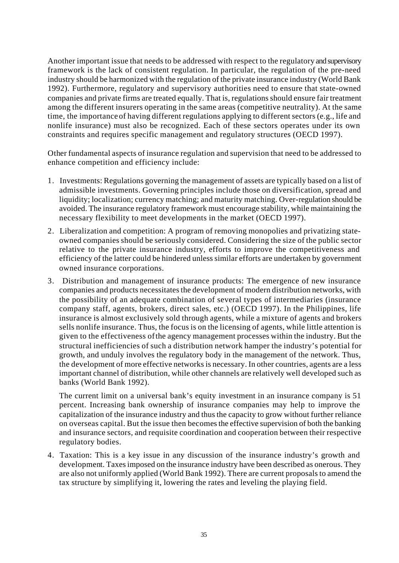Another important issue that needs to be addressed with respect to the regulatory and supervisory framework is the lack of consistent regulation. In particular, the regulation of the pre-need industry should be harmonized with the regulation of the private insurance industry (World Bank 1992). Furthermore, regulatory and supervisory authorities need to ensure that state-owned companies and private firms are treated equally. That is, regulations should ensure fair treatment among the different insurers operating in the same areas (competitive neutrality). At the same time, the importance of having different regulations applying to different sectors (e.g., life and nonlife insurance) must also be recognized. Each of these sectors operates under its own constraints and requires specific management and regulatory structures (OECD 1997).

Other fundamental aspects of insurance regulation and supervision that need to be addressed to enhance competition and efficiency include:

- 1. Investments: Regulations governing the management of assets are typically based on a list of admissible investments. Governing principles include those on diversification, spread and liquidity; localization; currency matching; and maturity matching. Over-regulation should be avoided. The insurance regulatory framework must encourage stability, while maintaining the necessary flexibility to meet developments in the market (OECD 1997).
- 2. Liberalization and competition: A program of removing monopolies and privatizing stateowned companies should be seriously considered. Considering the size of the public sector relative to the private insurance industry, efforts to improve the competitiveness and efficiency of the latter could be hindered unless similar efforts are undertaken by government owned insurance corporations.
- 3. Distribution and management of insurance products: The emergence of new insurance companies and products necessitates the development of modern distribution networks, with the possibility of an adequate combination of several types of intermediaries (insurance company staff, agents, brokers, direct sales, etc.) (OECD 1997). In the Philippines, life insurance is almost exclusively sold through agents, while a mixture of agents and brokers sells nonlife insurance. Thus, the focus is on the licensing of agents, while little attention is given to the effectiveness of the agency management processes within the industry. But the structural inefficiencies of such a distribution network hamper the industry's potential for growth, and unduly involves the regulatory body in the management of the network. Thus, the development of more effective networks is necessary. In other countries, agents are a less important channel of distribution, while other channels are relatively well developed such as banks (World Bank 1992).

The current limit on a universal bank's equity investment in an insurance company is 51 percent. Increasing bank ownership of insurance companies may help to improve the capitalization of the insurance industry and thus the capacity to grow without further reliance on overseas capital. But the issue then becomes the effective supervision of both the banking and insurance sectors, and requisite coordination and cooperation between their respective regulatory bodies.

4. Taxation: This is a key issue in any discussion of the insurance industry's growth and development. Taxes imposed on the insurance industry have been described as onerous. They are also not uniformly applied (World Bank 1992). There are current proposals to amend the tax structure by simplifying it, lowering the rates and leveling the playing field.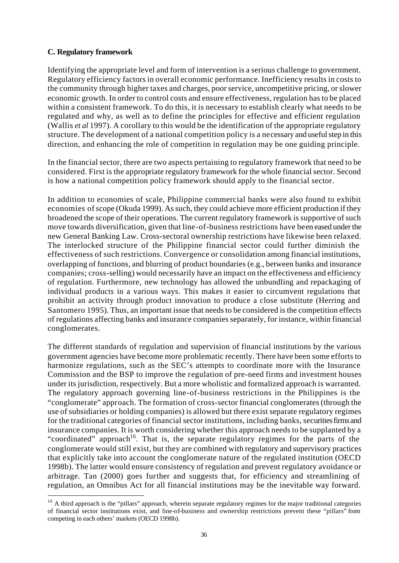# **C. Regulatory framework**

l

Identifying the appropriate level and form of intervention is a serious challenge to government. Regulatory efficiency factors in overall economic performance. Inefficiency results in costs to the community through higher taxes and charges, poor service, uncompetitive pricing, or slower economic growth. In order to control costs and ensure effectiveness, regulation has to be placed within a consistent framework. To do this, it is necessary to establish clearly what needs to be regulated and why, as well as to define the principles for effective and efficient regulation (Wallis *et al* 1997). A corollary to this would be the identification of the appropriate regulatory structure. The development of a national competition policy is a necessary and useful step in this direction, and enhancing the role of competition in regulation may be one guiding principle.

In the financial sector, there are two aspects pertaining to regulatory framework that need to be considered. First is the appropriate regulatory framework for the whole financial sector. Second is how a national competition policy framework should apply to the financial sector.

In addition to economies of scale, Philippine commercial banks were also found to exhibit economies of scope (Okuda 1999). As such, they could achieve more efficient production if they broadened the scope of their operations. The current regulatory framework is supportive of such move towards diversification, given that line-of-business restrictions have been eased under the new General Banking Law. Cross-sectoral ownership restrictions have likewise been relaxed. The interlocked structure of the Philippine financial sector could further diminish the effectiveness of such restrictions. Convergence or consolidation among financial institutions, overlapping of functions, and blurring of product boundaries (e.g., between banks and insurance companies; cross-selling) would necessarily have an impact on the effectiveness and efficiency of regulation. Furthermore, new technology has allowed the unbundling and repackaging of individual products in a various ways. This makes it easier to circumvent regulations that prohibit an activity through product innovation to produce a close substitute (Herring and Santomero 1995). Thus, an important issue that needs to be considered is the competition effects of regulations affecting banks and insurance companies separately, for instance, within financial conglomerates.

The different standards of regulation and supervision of financial institutions by the various government agencies have become more problematic recently. There have been some efforts to harmonize regulations, such as the SEC's attempts to coordinate more with the Insurance Commission and the BSP to improve the regulation of pre-need firms and investment houses under its jurisdiction, respectively. But a more wholistic and formalized approach is warranted. The regulatory approach governing line-of-business restrictions in the Philippines is the "conglomerate" approach. The formation of cross-sector financial conglomerates (through the use of subsidiaries or holding companies) is allowed but there exist separate regulatory regimes for the traditional categories of financial sector institutions, including banks, securities firms and insurance companies. It is worth considering whether this approach needs to be supplanted by a "coordinated" approach<sup>16</sup>. That is, the separate regulatory regimes for the parts of the conglomerate would still exist, but they are combined with regulatory and supervisory practices that explicitly take into account the conglomerate nature of the regulated institution (OECD 1998b). The latter would ensure consistency of regulation and prevent regulatory avoidance or arbitrage. Tan (2000) goes further and suggests that, for efficiency and streamlining of regulation, an Omnibus Act for all financial institutions may be the inevitable way forward.

<sup>&</sup>lt;sup>16</sup> A third approach is the "pillars" approach, wherein separate regulatory regimes for the major traditional categories of financial sector institutions exist, and line-of-business and ownership restrictions prevent these "pillars" from competing in each others' markets (OECD 1998b).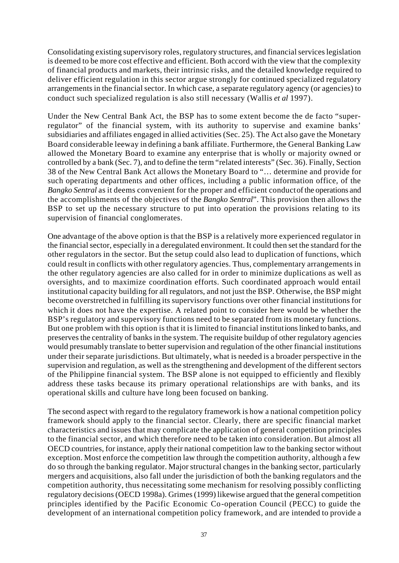Consolidating existing supervisory roles, regulatory structures, and financial services legislation is deemed to be more cost effective and efficient. Both accord with the view that the complexity of financial products and markets, their intrinsic risks, and the detailed knowledge required to deliver efficient regulation in this sector argue strongly for continued specialized regulatory arrangements in the financial sector. In which case, a separate regulatory agency (or agencies) to conduct such specialized regulation is also still necessary (Wallis *et al* 1997).

Under the New Central Bank Act, the BSP has to some extent become the de facto "superregulator" of the financial system, with its authority to supervise and examine banks' subsidiaries and affiliates engaged in allied activities (Sec. 25). The Act also gave the Monetary Board considerable leeway in defining a bank affiliate. Furthermore, the General Banking Law allowed the Monetary Board to examine any enterprise that is wholly or majority owned or controlled by a bank (Sec. 7), and to define the term "related interests" (Sec. 36). Finally, Section 38 of the New Central Bank Act allows the Monetary Board to "… determine and provide for such operating departments and other offices, including a public information office, of the *Bangko Sentral* as it deems convenient for the proper and efficient conduct of the operations and the accomplishments of the objectives of the *Bangko Sentral*". This provision then allows the BSP to set up the necessary structure to put into operation the provisions relating to its supervision of financial conglomerates.

One advantage of the above option is that the BSP is a relatively more experienced regulator in the financial sector, especially in a deregulated environment. It could then set the standard for the other regulators in the sector. But the setup could also lead to duplication of functions, which could result in conflicts with other regulatory agencies. Thus, complementary arrangements in the other regulatory agencies are also called for in order to minimize duplications as well as oversights, and to maximize coordination efforts. Such coordinated approach would entail institutional capacity building for all regulators, and not just the BSP. Otherwise, the BSP might become overstretched in fulfilling its supervisory functions over other financial institutions for which it does not have the expertise. A related point to consider here would be whether the BSP's regulatory and supervisory functions need to be separated from its monetary functions. But one problem with this option is that it is limited to financial institutions linked to banks, and preserves the centrality of banks in the system. The requisite buildup of other regulatory agencies would presumably translate to better supervision and regulation of the other financial institutions under their separate jurisdictions. But ultimately, what is needed is a broader perspective in the supervision and regulation, as well as the strengthening and development of the different sectors of the Philippine financial system. The BSP alone is not equipped to efficiently and flexibly address these tasks because its primary operational relationships are with banks, and its operational skills and culture have long been focused on banking.

The second aspect with regard to the regulatory framework is how a national competition policy framework should apply to the financial sector. Clearly, there are specific financial market characteristics and issues that may complicate the application of general competition principles to the financial sector, and which therefore need to be taken into consideration. But almost all OECD countries, for instance, apply their national competition law to the banking sector without exception. Most enforce the competition law through the competition authority, although a few do so through the banking regulator. Major structural changes in the banking sector, particularly mergers and acquisitions, also fall under the jurisdiction of both the banking regulators and the competition authority, thus necessitating some mechanism for resolving possibly conflicting regulatory decisions (OECD 1998a). Grimes (1999) likewise argued that the general competition principles identified by the Pacific Economic Co-operation Council (PECC) to guide the development of an international competition policy framework, and are intended to provide a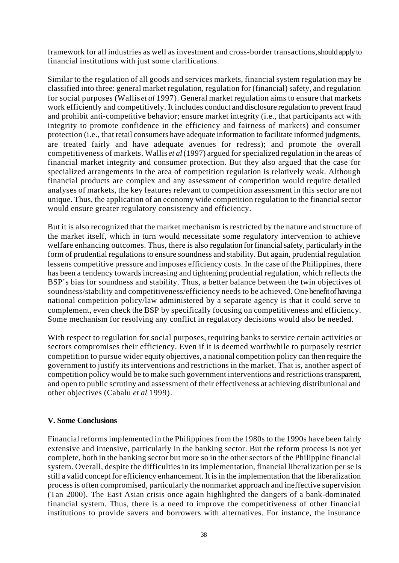framework for all industries as well as investment and cross-border transactions, should apply to financial institutions with just some clarifications.

Similar to the regulation of all goods and services markets, financial system regulation may be classified into three: general market regulation, regulation for (financial) safety, and regulation for social purposes (Wallis *et al* 1997). General market regulation aims to ensure that markets work efficiently and competitively. It includes conduct and disclosure regulation to prevent fraud and prohibit anti-competitive behavior; ensure market integrity (i.e., that participants act with integrity to promote confidence in the efficiency and fairness of markets) and consumer protection (i.e., that retail consumers have adequate information to facilitate informed judgments, are treated fairly and have adequate avenues for redress); and promote the overall competitiveness of markets. Wallis *et al* (1997) argued for specialized regulation in the areas of financial market integrity and consumer protection. But they also argued that the case for specialized arrangements in the area of competition regulation is relatively weak. Although financial products are complex and any assessment of competition would require detailed analyses of markets, the key features relevant to competition assessment in this sector are not unique. Thus, the application of an economy wide competition regulation to the financial sector would ensure greater regulatory consistency and efficiency.

But it is also recognized that the market mechanism is restricted by the nature and structure of the market itself, which in turn would necessitate some regulatory intervention to achieve welfare enhancing outcomes. Thus, there is also regulation for financial safety, particularly in the form of prudential regulations to ensure soundness and stability. But again, prudential regulation lessens competitive pressure and imposes efficiency costs. In the case of the Philippines, there has been a tendency towards increasing and tightening prudential regulation, which reflects the BSP's bias for soundness and stability. Thus, a better balance between the twin objectives of soundness/stability and competitiveness/efficiency needs to be achieved. One benefit of having a national competition policy/law administered by a separate agency is that it could serve to complement, even check the BSP by specifically focusing on competitiveness and efficiency. Some mechanism for resolving any conflict in regulatory decisions would also be needed.

With respect to regulation for social purposes, requiring banks to service certain activities or sectors compromises their efficiency. Even if it is deemed worthwhile to purposely restrict competition to pursue wider equity objectives, a national competition policy can then require the government to justify its interventions and restrictions in the market. That is, another aspect of competition policy would be to make such government interventions and restrictions transparent, and open to public scrutiny and assessment of their effectiveness at achieving distributional and other objectives (Cabalu *et al* 1999).

#### **V. Some Conclusions**

Financial reforms implemented in the Philippines from the 1980s to the 1990s have been fairly extensive and intensive, particularly in the banking sector. But the reform process is not yet complete, both in the banking sector but more so in the other sectors of the Philippine financial system. Overall, despite the difficulties in its implementation, financial liberalization per se is still a valid concept for efficiency enhancement. It is in the implementation that the liberalization process is often compromised, particularly the nonmarket approach and ineffective supervision (Tan 2000). The East Asian crisis once again highlighted the dangers of a bank-dominated financial system. Thus, there is a need to improve the competitiveness of other financial institutions to provide savers and borrowers with alternatives. For instance, the insurance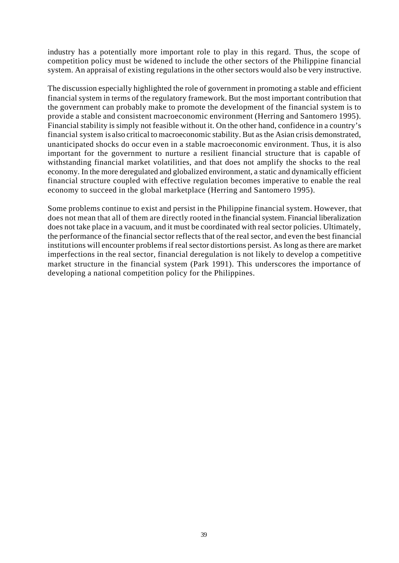industry has a potentially more important role to play in this regard. Thus, the scope of competition policy must be widened to include the other sectors of the Philippine financial system. An appraisal of existing regulations in the other sectors would also be very instructive.

The discussion especially highlighted the role of government in promoting a stable and efficient financial system in terms of the regulatory framework. But the most important contribution that the government can probably make to promote the development of the financial system is to provide a stable and consistent macroeconomic environment (Herring and Santomero 1995). Financial stability is simply not feasible without it. On the other hand, confidence in a country's financial system is also critical to macroeconomic stability. But as the Asian crisis demonstrated, unanticipated shocks do occur even in a stable macroeconomic environment. Thus, it is also important for the government to nurture a resilient financial structure that is capable of withstanding financial market volatilities, and that does not amplify the shocks to the real economy. In the more deregulated and globalized environment, a static and dynamically efficient financial structure coupled with effective regulation becomes imperative to enable the real economy to succeed in the global marketplace (Herring and Santomero 1995).

Some problems continue to exist and persist in the Philippine financial system. However, that does not mean that all of them are directly rooted in the financial system. Financial liberalization does not take place in a vacuum, and it must be coordinated with real sector policies. Ultimately, the performance of the financial sector reflects that of the real sector, and even the best financial institutions will encounter problems if real sector distortions persist. As long as there are market imperfections in the real sector, financial deregulation is not likely to develop a competitive market structure in the financial system (Park 1991). This underscores the importance of developing a national competition policy for the Philippines.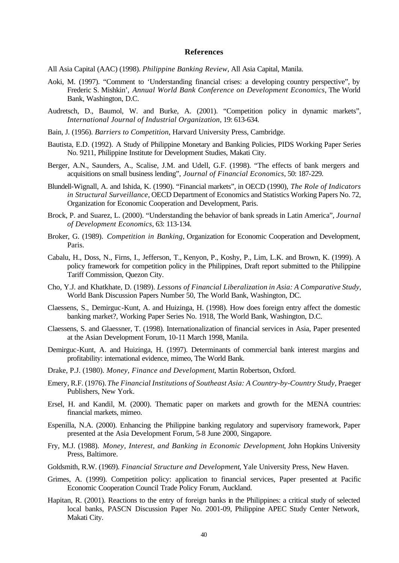#### **References**

All Asia Capital (AAC) (1998). *Philippine Banking Review*, All Asia Capital, Manila.

- Aoki, M. (1997). "Comment to 'Understanding financial crises: a developing country perspective", by Frederic S. Mishkin', *Annual World Bank Conference on Development Economics*, The World Bank, Washington, D.C.
- Audretsch, D., Baumol, W. and Burke, A. (2001). "Competition policy in dynamic markets", *International Journal of Industrial Organization*, 19: 613-634.
- Bain, J. (1956). *Barriers to Competition*, Harvard University Press, Cambridge.
- Bautista, E.D. (1992). A Study of Philippine Monetary and Banking Policies, PIDS Working Paper Series No. 9211, Philippine Institute for Development Studies, Makati City.
- Berger, A.N., Saunders, A., Scalise, J.M. and Udell, G.F. (1998). "The effects of bank mergers and acquisitions on small business lending", *Journal of Financial Economics*, 50: 187-229.
- Blundell-Wignall, A. and Ishida, K. (1990). "Financial markets", in OECD (1990), *The Role of Indicators in Structural Surveillance*, OECD Department of Economics and Statistics Working Papers No. 72, Organization for Economic Cooperation and Development, Paris.
- Brock, P. and Suarez, L. (2000). "Understanding the behavior of bank spreads in Latin America", *Journal of Development Economics*, 63: 113-134.
- Broker, G. (1989). *Competition in Banking*, Organization for Economic Cooperation and Development, Paris.
- Cabalu, H., Doss, N., Firns, I., Jefferson, T., Kenyon, P., Koshy, P., Lim, L.K. and Brown, K. (1999). A policy framework for competition policy in the Philippines, Draft report submitted to the Philippine Tariff Commission, Quezon City.
- Cho, Y.J. and Khatkhate, D. (1989). *Lessons of Financial Liberalization in Asia: A Comparative Study*, World Bank Discussion Papers Number 50, The World Bank, Washington, DC.
- Claessens, S., Demirguc-Kunt, A. and Huizinga, H. (1998). How does foreign entry affect the domestic banking market?, Working Paper Series No. 1918, The World Bank, Washington, D.C.
- Claessens, S. and Glaessner, T. (1998). Internationalization of financial services in Asia, Paper presented at the Asian Development Forum, 10-11 March 1998, Manila.
- Demirguc-Kunt, A. and Huizinga, H. (1997). Determinants of commercial bank interest margins and profitability: international evidence, mimeo, The World Bank.
- Drake, P.J. (1980). *Money, Finance and Development*, Martin Robertson, Oxford.
- Emery, R.F. (1976). *The Financial Institutions of Southeast Asia: A Country-by-Country Study*, Praeger Publishers, New York.
- Ersel, H. and Kandil, M. (2000). Thematic paper on markets and growth for the MENA countries: financial markets, mimeo.
- Espenilla, N.A. (2000). Enhancing the Philippine banking regulatory and supervisory framework, Paper presented at the Asia Development Forum, 5-8 June 2000, Singapore.
- Fry, M.J. (1988). *Money, Interest, and Banking in Economic Development*, John Hopkins University Press, Baltimore.
- Goldsmith, R.W. (1969). *Financial Structure and Development*, Yale University Press, New Haven.
- Grimes, A. (1999). Competition policy: application to financial services, Paper presented at Pacific Economic Cooperation Council Trade Policy Forum, Auckland.
- Hapitan, R. (2001). Reactions to the entry of foreign banks in the Philippines: a critical study of selected local banks, PASCN Discussion Paper No. 2001-09, Philippine APEC Study Center Network, Makati City.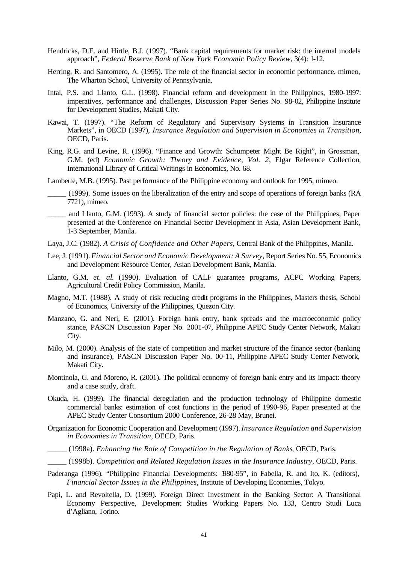- Hendricks, D.E. and Hirtle, B.J. (1997). "Bank capital requirements for market risk: the internal models approach", *Federal Reserve Bank of New York Economic Policy Review*, 3(4): 1-12.
- Herring, R. and Santomero, A. (1995). The role of the financial sector in economic performance, mimeo, The Wharton School, University of Pennsylvania.
- Intal, P.S. and Llanto, G.L. (1998). Financial reform and development in the Philippines, 1980-1997: imperatives, performance and challenges, Discussion Paper Series No. 98-02, Philippine Institute for Development Studies, Makati City.
- Kawai, T. (1997). "The Reform of Regulatory and Supervisory Systems in Transition Insurance Markets", in OECD (1997), *Insurance Regulation and Supervision in Economies in Transition*, OECD, Paris.
- King, R.G. and Levine, R. (1996). "Finance and Growth: Schumpeter Might Be Right", in Grossman, G.M. (ed) *Economic Growth: Theory and Evidence, Vol. 2*, Elgar Reference Collection, International Library of Critical Writings in Economics, No. 68.

Lamberte, M.B. (1995). Past performance of the Philippine economy and outlook for 1995, mimeo.

- \_\_\_\_\_ (1999). Some issues on the liberalization of the entry and scope of operations of foreign banks (RA 7721), mimeo.
- \_\_\_\_\_ and Llanto, G.M. (1993). A study of financial sector policies: the case of the Philippines, Paper presented at the Conference on Financial Sector Development in Asia, Asian Development Bank, 1-3 September, Manila.
- Laya, J.C. (1982). *A Crisis of Confidence and Other Papers*, Central Bank of the Philippines, Manila.
- Lee, J. (1991). *Financial Sector and Economic Development: A Survey*, Report Series No. 55, Economics and Development Resource Center, Asian Development Bank, Manila.
- Llanto, G.M. *et. al*. (1990). Evaluation of CALF guarantee programs, ACPC Working Papers, Agricultural Credit Policy Commission, Manila.
- Magno, M.T. (1988). A study of risk reducing credit programs in the Philippines, Masters thesis, School of Economics, University of the Philippines, Quezon City.
- Manzano, G. and Neri, E. (2001). Foreign bank entry, bank spreads and the macroeconomic policy stance, PASCN Discussion Paper No. 2001-07, Philippine APEC Study Center Network, Makati City.
- Milo, M. (2000). Analysis of the state of competition and market structure of the finance sector (banking and insurance), PASCN Discussion Paper No. 00-11, Philippine APEC Study Center Network, Makati City.
- Montinola, G. and Moreno, R. (2001). The political economy of foreign bank entry and its impact: theory and a case study, draft.
- Okuda, H. (1999). The financial deregulation and the production technology of Philippine domestic commercial banks: estimation of cost functions in the period of 1990-96, Paper presented at the APEC Study Center Consortium 2000 Conference, 26-28 May, Brunei.
- Organization for Economic Cooperation and Development (1997). *Insurance Regulation and Supervision in Economies in Transition*, OECD, Paris.
	- \_\_\_\_\_ (1998a). *Enhancing the Role of Competition in the Regulation of Banks*, OECD, Paris.
	- \_\_\_\_\_ (1998b). *Competition and Related Regulation Issues in the Insurance Industry*, OECD, Paris.
- Paderanga (1996). "Philippine Financial Developments:  $980-95$ ", in Fabella, R. and Ito, K. (editors), *Financial Sector Issues in the Philippines*, Institute of Developing Economies, Tokyo.
- Papi, L. and Revoltella, D. (1999). Foreign Direct Investment in the Banking Sector: A Transitional Economy Perspective, Development Studies Working Papers No. 133, Centro Studi Luca d'Agliano, Torino.